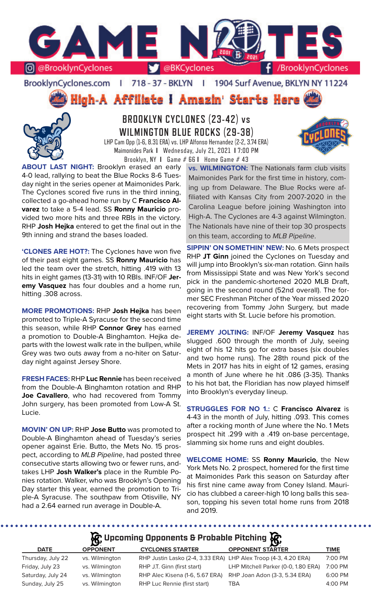

BrooklynCyclones.com | 718 - 37 - BKLYN  $\mathbf{r}$ 1904 Surf Avenue, BKLYN NY 11224

High-A Affiliate I Amazin' Starts Here



**BROOKLYN CYCLONES (23-42) vs WILMINGTON BLUE ROCKS (29-38)** LHP Cam Opp (1-6, 8.31 ERA) vs. LHP Alfonso Hernandez (2-2, 3.74 ERA) Maimonides Park **I** Wednesday, July 21, 2021 **I** 7:00 PM Brooklyn, NY **I** Game # 66 **I** Home Game # 43



**ABOUT LAST NIGHT:** Brooklyn erased an early 4-0 lead, rallying to beat the Blue Rocks 8-6 Tuesday night in the series opener at Maimonides Park. The Cyclones scored five runs in the third inning, collected a go-ahead home run by C **Francisco Alvarez** to take a 5-4 lead. SS **Ronny Mauricio** provided two more hits and three RBIs in the victory. RHP **Josh Hejka** entered to get the final out in the 9th inning and strand the bases loaded.

**'CLONES ARE HOT?:** The Cyclones have won five of their past eight games. SS **Ronny Mauricio** has led the team over the stretch, hitting .419 with 13 hits in eight games (13-31) with 10 RBIs. INF/OF **Jeremy Vasquez** has four doubles and a home run, hitting .308 across.

**MORE PROMOTIONS:** RHP **Josh Hejka** has been promoted to Triple-A Syracuse for the second time this season, while RHP **Connor Grey** has earned a promotion to Double-A Binghamton. Hejka departs with the lowest walk rate in the bullpen, while Grey was two outs away from a no-hiter on Saturday night against Jersey Shore.

**FRESH FACES:** RHP **Luc Rennie** has been received from the Double-A Binghamton rotation and RHP **Joe Cavallero**, who had recovered from Tommy John surgery, has been promoted from Low-A St. Lucie.

**MOVIN' ON UP:** RHP **Jose Butto** was promoted to Double-A Binghamton ahead of Tuesday's series opener against Erie. Butto, the Mets No. 15 prospect, according to *MLB Pipeline*, had posted three consecutive starts allowing two or fewer runs, andtakes LHP **Josh Walker's** place in the Rumble Ponies rotation. Walker, who was Brooklyn's Opening Day starter this year, earned the promotion to Triple-A Syracuse. The southpaw from Otisville, NY had a 2.64 earned run average in Double-A.

**vs. WILMINGTON:** The Nationals farm club visits Maimonides Park for the first time in history, coming up from Delaware. The Blue Rocks were affiliated with Kansas City from 2007-2020 in the Carolina League before joining Washington into High-A. The Cyclones are 4-3 against Wilmington. The Nationals have nine of their top 30 prospects on this team, according to *MLB Pipeline*.

**SIPPIN' ON SOMETHIN' NEW:** No. 6 Mets prospect RHP **JT Ginn** joined the Cyclones on Tuesday and will jump into Brooklyn's six-man rotation. Ginn hails from Mississippi State and was New York's second pick in the pandemic-shortened 2020 MLB Draft, going in the second round (52nd overall). The former SEC Freshman Pitcher of the Year missed 2020 recovering from Tommy John Surgery, but made eight starts with St. Lucie before his promotion.

**JEREMY JOLTING:** INF/OF **Jeremy Vasquez** has slugged .600 through the month of July, seeing eight of his 12 hits go for extra bases (six doubles and two home runs). The 28th round pick of the Mets in 2017 has hits in eight of 12 games, erasing a month of June where he hit .086 (3-35). Thanks to his hot bat, the Floridian has now played himself into Brooklyn's everyday lineup.

**STRUGGLES FOR NO 1.:** C **Francisco Alvarez** is 4-43 in the month of July, hitting .093. This comes after a rocking month of June where the No. 1 Mets prospect hit .299 with a .419 on-base percentage, slamming six home runs and eight doubles.

**WELCOME HOME:** SS **Ronny Mauricio**, the New York Mets No. 2 prospect, homered for the first time at Maimonides Park this season on Saturday after his first nine came away from Coney Island. Mauricio has clubbed a career-high 10 long balls this season, topping his seven total home runs from 2018 and 2019.

. . . . . . . . . . . . . . . . . . .

| $\mathcal{R}$ Upcoming Opponents & Probable Pitching $\mathcal{R}$ |                 |                                                                 |                                     |             |  |  |  |  |  |  |
|--------------------------------------------------------------------|-----------------|-----------------------------------------------------------------|-------------------------------------|-------------|--|--|--|--|--|--|
| <b>DATE</b>                                                        | <b>OPPONENT</b> | <b>CYCLONES STARTER</b>                                         | <b>OPPONENT STARTER</b>             | <b>TIME</b> |  |  |  |  |  |  |
| Thursday, July 22                                                  | vs. Wilmington  | RHP Justin Lasko (2-4, 3.33 ERA) LHP Alex Troop (4-3, 4.20 ERA) |                                     | 7:00 PM     |  |  |  |  |  |  |
| Friday, July 23                                                    | vs. Wilmington  | RHP J.T. Ginn (first start)                                     | LHP Mitchell Parker (0-0, 1.80 ERA) | 7:00 PM     |  |  |  |  |  |  |
| Saturday, July 24                                                  | vs. Wilmington  | RHP Alec Kisena (1-6, 5.67 ERA)                                 | RHP Joan Adon (3-3, 5.34 ERA)       | 6:00 PM     |  |  |  |  |  |  |
| Sunday, July 25                                                    | vs. Wilmington  | RHP Luc Rennie (first start)                                    | <b>TBA</b>                          | 4:00 PM     |  |  |  |  |  |  |
|                                                                    |                 |                                                                 |                                     |             |  |  |  |  |  |  |

. . . . . . . . . . . . .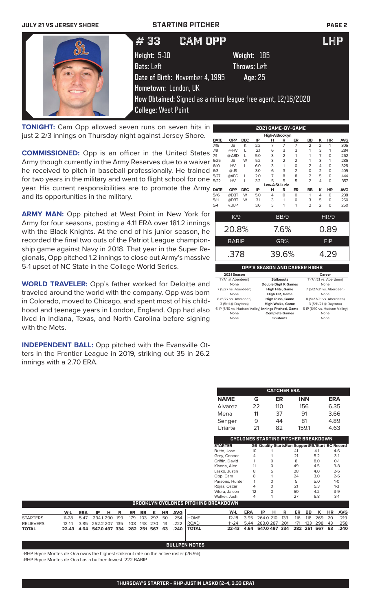| <b>JULY 21 VS JERSEY SHORE</b> |                                 | <b>STARTING PITCHER</b>                                       |            |  |  |  |  |  |
|--------------------------------|---------------------------------|---------------------------------------------------------------|------------|--|--|--|--|--|
|                                | #33                             | <b>CAM OPP</b>                                                | <b>LHP</b> |  |  |  |  |  |
|                                | Height: 5-10                    | Weight: 185                                                   |            |  |  |  |  |  |
|                                | Bats: Left                      | <b>Throws: Left</b>                                           |            |  |  |  |  |  |
|                                | Date of Birth: November 4, 1995 | Age: 25                                                       |            |  |  |  |  |  |
|                                | Hometown: London, UK            |                                                               |            |  |  |  |  |  |
|                                |                                 | How Obtained: Signed as a minor league free agent, 12/16/2020 |            |  |  |  |  |  |
|                                | <b>College: West Point</b>      |                                                               |            |  |  |  |  |  |

**TONIGHT:** Cam Opp allowed seven runs on seven hits in just 2 2/3 innings on Thursday night against Jersey Shore.

**COMMISSIONED:** Opp is an officer in the United States Army though currently in the Army Reserves due to a waiver he received to pitch in baseball professionally. He trained for two years in the military and went to flight school for one year. His current responsibilities are to promote the Army and its opportunities in the military.

**ARMY MAN:** Opp pitched at West Point in New York for Army for four seasons, posting a 4.11 ERA over 181.2 innings with the Black Knights. At the end of his junior season, he recorded the final two outs of the Patriot League championship game against Navy in 2018. That year in the Super Regionals, Opp pitched 1.2 innings to close out Army's massive 5-1 upset of NC State in the College World Series.

**WORLD TRAVELER:** Opp's father worked for Deloitte and traveled around the world with the company. Opp was born in Colorado, moved to Chicago, and spent most of his childhood and teenage years in London, England. Opp had also lived in Indiana, Texas, and North Carolina before signing with the Mets.

**INDEPENDENT BALL:** Opp pitched with the Evansville Otters in the Frontier League in 2019, striking out 35 in 26.2 innings with a 2.70 ERA.

|                 | High-A Brooklyn |            |     |                |                |                |                |                |          |            |  |  |  |
|-----------------|-----------------|------------|-----|----------------|----------------|----------------|----------------|----------------|----------|------------|--|--|--|
| <b>DATE</b>     | <b>OPP</b>      | <b>DEC</b> | IP  | н              | R              | ER             | <b>BB</b>      | ĸ              | HR       | <b>AVG</b> |  |  |  |
| 7/15            | <b>JS</b>       | K          | 2.2 | $\overline{7}$ | $\overline{7}$ | $\overline{7}$ | $\overline{2}$ | $\overline{2}$ | 1        | .305       |  |  |  |
| 7/9             | @HV             | L          | 21  | 6              | 3              | 3              | 1              | 3              | 1        | .284       |  |  |  |
| 7/1             | @ ABD           | L          | 5.0 | 3              | $\overline{2}$ | 1              | 1              | $\overline{7}$ | $\Omega$ | .262       |  |  |  |
| 6/25            | <b>JS</b>       | W          | 5.2 | 3              | $\overline{2}$ | $\overline{2}$ | 1              | 3              | 1        | .286       |  |  |  |
| 6/10            | HV              | L          | 6.0 | 3              | 1              | $\circ$        | $\overline{2}$ | 4              | $\Omega$ | .328       |  |  |  |
| 6/3             | $@$ JS          |            | 3.0 | 6              | 3              | $\overline{2}$ | $\Omega$       | 2              | $\Omega$ | .409       |  |  |  |
| 5/27            | @ABD            | L          | 2.0 | $\overline{7}$ | 8              | 8              | $\overline{2}$ | 5              | $\Omega$ | .444       |  |  |  |
| 5/22            | HV              | L          | 3.2 | 5              | 5              | 5              | $\overline{2}$ | 4              | $\Omega$ | .357       |  |  |  |
| Low-A St. Lucie |                 |            |     |                |                |                |                |                |          |            |  |  |  |
| <b>DATE</b>     | <b>OPP</b>      | <b>DEC</b> | IP  | н              | R              | ER             | BB             | κ              | HR       | <b>AVG</b> |  |  |  |
| 5/16            | @DBT            | W          | 5.0 | 4              | 0              | $\Omega$       | 1              | 4              | $\Omega$ | .238       |  |  |  |
| 5/11            | @DBT            | W          | 31  | 3              | 1              | $\circ$        | 3              | 5              | $\Omega$ | .250       |  |  |  |
| 5/4             | v. JUP          |            | 3.0 | 3              | 1              | 1              | $\overline{2}$ | $\overline{2}$ | $\Omega$ | .250       |  |  |  |
|                 | K/9             |            |     |                | BB/9           |                |                |                | HR/9     |            |  |  |  |
|                 |                 |            |     |                |                |                |                |                |          |            |  |  |  |
|                 | 20.8%           |            |     |                | 7.6%           |                | 0.89           |                |          |            |  |  |  |
|                 | <b>BABIP</b>    |            |     |                | GB%            |                | <b>FIP</b>     |                |          |            |  |  |  |
|                 | .378            |            |     |                | 39.6%          |                | 4.29           |                |          |            |  |  |  |

**2021 GAME-BY-GAME**

**OPP'S SEASON AND CAREER HIGHS**

| 2021 Season                                         |                             | Career                        |
|-----------------------------------------------------|-----------------------------|-------------------------------|
| 7 (7/1 at Aberdeen)                                 | <b>Strikeouts</b>           | 7 (7/1/21 vs. Aberdeen)       |
| None                                                | <b>Double Digit K Games</b> | None                          |
| 7 (5/27 vs. Aberdeen)                               | <b>High Hits, Game</b>      | 7 (5/27/21 vs. Aberdeen)      |
| None                                                | High HR, Game               | None                          |
| 8 (5/27 vs. Aberdeen)                               | <b>High Runs, Game</b>      | 8 (5/27/21 vs. Aberdeen)      |
| 3 (5/11 @ Daytona)                                  | <b>High Walks, Game</b>     | 3 (5/11/21 @ Daytona)         |
| 6 IP (6/10 vs. Hudson Valley) Innings Pitched, Game |                             | 6 IP (6/10 vs. Hudson Valley) |
| None                                                | <b>Complete Games</b>       | None                          |
| None                                                | <b>Shutouts</b>             | None                          |

| <b>CATCHER ERA</b> |    |                 |            |            |  |  |  |  |  |  |  |
|--------------------|----|-----------------|------------|------------|--|--|--|--|--|--|--|
| <b>NAME</b>        | G  | ER.             | <b>INN</b> | <b>ERA</b> |  |  |  |  |  |  |  |
| Alvarez            | 22 | 11 <sub>O</sub> | 156        | 6.35       |  |  |  |  |  |  |  |
| Mena               | 11 | 37              | 91         | 3.66       |  |  |  |  |  |  |  |
| Senger             | 9  | 44              | 81         | 4.89       |  |  |  |  |  |  |  |
| Uriarte            | 21 | 82              | 159.1      | 4.63       |  |  |  |  |  |  |  |

|                 | CYCLONES STARTING PITCHER BREAKDOWN |   |                                                       |     |         |  |  |  |  |  |  |  |  |
|-----------------|-------------------------------------|---|-------------------------------------------------------|-----|---------|--|--|--|--|--|--|--|--|
| <b>STARTER</b>  |                                     |   | <b>GS Quality StartsRun SupportRS/Start BC Record</b> |     |         |  |  |  |  |  |  |  |  |
| Butto, Jose     | 10                                  |   | 41                                                    | 4.1 | $4-6$   |  |  |  |  |  |  |  |  |
| Grey, Connor    | 4                                   |   | 21                                                    | 5.2 | $3-1$   |  |  |  |  |  |  |  |  |
| Griffin, David  |                                     | ∩ | 8                                                     | 8.0 | $O-1$   |  |  |  |  |  |  |  |  |
| Kisena, Alec    | 11                                  | ∩ | 49                                                    | 4.5 | $3-8$   |  |  |  |  |  |  |  |  |
| Lasko, Justin   | 8                                   | 5 | 28                                                    | 4.0 | $2 - 6$ |  |  |  |  |  |  |  |  |
| Opp, Cam        | 8                                   |   | 24                                                    | 3.0 | $2 - 6$ |  |  |  |  |  |  |  |  |
| Parsons, Hunter |                                     | O | 5                                                     | 5.0 | $1 - 0$ |  |  |  |  |  |  |  |  |
| Rojas, Oscar    |                                     | Ω | 21                                                    | 5.3 | $1 - 3$ |  |  |  |  |  |  |  |  |
| Vilera, Jaison  | 12                                  | O | 50                                                    | 4.2 | $3-9$   |  |  |  |  |  |  |  |  |
| Walker, Josh    | 4                                   |   | 27                                                    | 6.8 | $3-1$   |  |  |  |  |  |  |  |  |
| REAKDOWN        |                                     |   |                                                       |     |         |  |  |  |  |  |  |  |  |

|                  |  |  | BROOKLYN CYCLONES PITCHING BREAKDOWN |  |  |                              |                                                                       |                                              |                               |  |  |  |  |
|------------------|--|--|--------------------------------------|--|--|------------------------------|-----------------------------------------------------------------------|----------------------------------------------|-------------------------------|--|--|--|--|
|                  |  |  |                                      |  |  | <u>W-LERA IPHRERBBKHRAVG</u> |                                                                       |                                              | W-L ERA IP H R ER BB K HR AVG |  |  |  |  |
| <b>STARTERS</b>  |  |  |                                      |  |  |                              | 11-28  5.47  294.1  290  199  179  103  297  50  .254  HOME           | 12-18 3.95 264.0 210 133 116 118 269 20 .219 |                               |  |  |  |  |
| <b>RELIEVERS</b> |  |  |                                      |  |  |                              | 12-14   3.85   252.2   207   135   108   148   270   13   .222   ROAD | 11-24 5.44 283.0 287 201 171 133 298 43 .258 |                               |  |  |  |  |
| <b>TOTAL</b>     |  |  |                                      |  |  |                              | 22-43 4.64 547.0 497 334 282 251 567 63 .240 TOTAL                    | 22-43 4.64 547.0 497 334 282 251 567 63 .240 |                               |  |  |  |  |

## **BULLPEN NOTES**

-RHP Bryce Montes de Oca owns the highest strikeout rate on the active roster (26.9%) -RHP Bryce Montes de Oca has a bullpen-lowest .222 BABIP.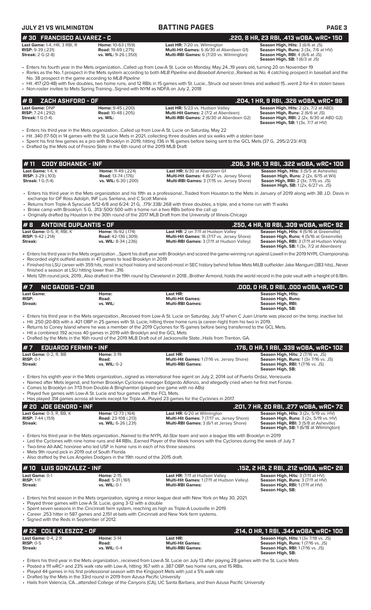|--|

| <b>JULY 21 VS WILMINGTON</b>                                                         |                                                                                                                                                                    | <b>BATTING PAGES</b>                                                                                                                                                                                                                                                                                                                                                                                                                                                                                                                          | <b>PAGE 3</b>                                                                                                                                                                     |
|--------------------------------------------------------------------------------------|--------------------------------------------------------------------------------------------------------------------------------------------------------------------|-----------------------------------------------------------------------------------------------------------------------------------------------------------------------------------------------------------------------------------------------------------------------------------------------------------------------------------------------------------------------------------------------------------------------------------------------------------------------------------------------------------------------------------------------|-----------------------------------------------------------------------------------------------------------------------------------------------------------------------------------|
| #30 FRANCISCO ALVAREZ - C                                                            |                                                                                                                                                                    |                                                                                                                                                                                                                                                                                                                                                                                                                                                                                                                                               | .220, 8 HR, 23 RBI, .413 WOBA, WRC+ 150                                                                                                                                           |
| Last Game: 1-4, HR, 3 RBI, R<br><b>RISP: 9-39 (.231)</b><br><b>Streak: 2 G (2-8)</b> | Home: 10-63 (.159)<br><b>Road: 19-69 (.275)</b><br>vs. WIL: 9-26 (.350)                                                                                            | Last HR: 7/20 vs. Wilmington<br>Multi-Hit Games: 6 (6/30 at Aberdeen G1)<br>Multi-RBI Games: 6 (7/20 vs. Wilmington)                                                                                                                                                                                                                                                                                                                                                                                                                          | Season High, Hits: 3 (6/6 at JS)<br>Season High, Runs: 3 (3x, 7/6 at HV)<br>Season High, RBI: 4 (6/6 at JS)<br>Season High, SB: 1 (6/3 at JS)                                     |
| No. 38 prospect in the game according to MLB Pipeline                                |                                                                                                                                                                    | • Enters his fourth year in the Mets organizationCalled up from Low-A St. Lucie on Monday, May 2419 years old, turning 20 on November 19<br>• Ranks as the No. 1 prospect in the Mets system according to both MLB Pipeline and Baseball AmericaRanked as No. 4 catching prospect in baseball and the                                                                                                                                                                                                                                         |                                                                                                                                                                                   |
|                                                                                      | . Non-roster invitee to Mets Spring Training Signed with NYM as NDFA on July 2, 2018                                                                               | · Hit .417 (20-48) with five doubles, two home runs, and 12 RBIs in 15 games with St. LucieStruck out seven times and walked 15went 2-for-4 in stolen bases                                                                                                                                                                                                                                                                                                                                                                                   |                                                                                                                                                                                   |
| ZACH ASHFORD - OF<br>#9                                                              |                                                                                                                                                                    |                                                                                                                                                                                                                                                                                                                                                                                                                                                                                                                                               | .204, 1 HR, 9 RBI, .326 wOBA, wRC+ 96                                                                                                                                             |
| Last Game: DNP<br><b>RISP:</b> 7-24 (.292)<br><b>Streak:</b> 1 G (1-4)               | Home: 9-45 (.200)<br><b>Road: 10-48 (.205)</b><br>vs. WIL:                                                                                                         | Last HR: 5/23 vs. Hudson Valley<br>Multi-Hit Games: 2 (7/2 at Aberdeen)<br>Multi-RBI Games: 2 (6/30 at Aberdeen G2)                                                                                                                                                                                                                                                                                                                                                                                                                           | Season High, Hits: 2 (2x, 7/2 at ABD)<br>Season High, Runs: 2 (6/6 at JS)<br>Season High, RBI: 2 (2x, 6/30 at ABD G2)<br><b>Season High, SB:</b> 1 (3x, 7/7 at HV)                |
|                                                                                      | • Drafted by the Mets out of Fresno State in the 6th round of the 2019 MLB Draft                                                                                   | Enters his third year in the Mets organizationCalled up from Low-A St. Lucie on Saturday, May 22<br>• Hit .340 (17-50) in 14 games with the St. Lucie Mets in 2021, collecting three doubles and six walks with a stolen base<br>• Spent his first few games as a pro with Brooklyn in 2019, hitting 136 in 16 games before being sent to the GCL Mets (37 G, .295/2/23/.413)                                                                                                                                                                 |                                                                                                                                                                                   |
| <b>CODY BOHANEK - INF</b><br>#11                                                     |                                                                                                                                                                    |                                                                                                                                                                                                                                                                                                                                                                                                                                                                                                                                               | .206, 3 HR, 13 RBI, .322 WOBA, WRC+ 100                                                                                                                                           |
| Last Game: 1-4, K<br><b>RISP: 3-29 (.103)</b><br><b>Streak:</b> 1 G (1-4)            | Home: 11-49 (.224)<br><b>Road: 13-74 (.176)</b><br>vs. WIL: 6-30 (.200)                                                                                            | Last HR: 6/30 at Aberdeen G1<br>Multi-Hit Games: 4 (6/27 vs. Jersey Shore)<br>Multi-RBI Games: 3 (7/15 vs. Jersey Shore)                                                                                                                                                                                                                                                                                                                                                                                                                      | Season High, Hits: 3 (5/5 at Asheville)<br>Season High, Runs: 2 (2x, 6/15 at Wil)<br><b>Seaon High, RBI:</b> 2 (3x, 7/15 vs. JS)<br><b>Season High, SB:</b> 1 (2x, 6/27 vs. JS)   |
|                                                                                      | exchange for OF Ross Adolph, INF Luis Santana, and C Scott Manea                                                                                                   | • Enters his third year in the Mets organization and his fifth as a professionalTraded from Houston to the Mets in January of 2019 along with 3B J.D. Davis in<br>• Returns from Triple-A Syracuse 5/12-6/8 and 6/24: 21 G, 179/.338/.268 with three doubles, a triple, and a home run with 11 walks<br>• Broke camp with Brooklyn: 5 G, .313/.500/.500 with a home run a two RBIs before the call up<br>• Originally drafted by Houston in the 30th round of the 2017 MLB Draft from the University of Illinois-Chicago                      |                                                                                                                                                                                   |
| #8<br><b>ANTOINE DUPLANTIS - OF</b>                                                  |                                                                                                                                                                    |                                                                                                                                                                                                                                                                                                                                                                                                                                                                                                                                               | .250, 4 HR, 18 RBI, .309 w0BA, wRC+ 92                                                                                                                                            |
| Last Game: 0-5, R, RBI, K<br><b>RISP:</b> $9-42$ (.214)<br><b>Streak:</b>            | Home: 16-92 (.174)<br><b>Road:</b> 42-136 (.309)<br>vs. WIL: 8-34 (.236)                                                                                           | Last HR: 2 on 7/11 at Hudson Valley<br>Multi-Hit Games: 16 (7/17 vs. Jersey Shore)<br>Multi-RBI Games: 3 (7/11 at Hudson Valley)                                                                                                                                                                                                                                                                                                                                                                                                              | Season High, Hits: 4 (5/16 at Greenville)<br>Season High, Runs: 4 (5/16 at Greenville)<br>Season High, RBI: 3 (7/11 at Hudson Valley)<br>Season High, SB: 1 (3x, 7/2 at Aberdeen) |
|                                                                                      | • Recorded eight outfield assists in 47 games to lead Brooklyn in 2019                                                                                             | • Enters his third year in the Mets organization Spent his draft year with Brooklyn and scored the game-winning run against Lowell in the 2019 NYPL Championship<br>• Finished his LSU career with 359 hits, most in school history and second-most in SEC history behind fellow Mets MiLB outfielder Jake Mangum (383 hits)Never                                                                                                                                                                                                             |                                                                                                                                                                                   |
| finished a season at LSU hitting lower than .316                                     |                                                                                                                                                                    | • Mets 12th round pick, 2019Also drafted in the 19th round by Cleveland in 2018Brother Armond, holds the world record in the pole vault with a height of 6.18m.                                                                                                                                                                                                                                                                                                                                                                               |                                                                                                                                                                                   |
| <b>NIC GADDIS - C/3B</b><br>#7                                                       |                                                                                                                                                                    |                                                                                                                                                                                                                                                                                                                                                                                                                                                                                                                                               | .000, 0 HR, 0 RBI, .000 WOBA, WRC+ 0                                                                                                                                              |
| Last Game:<br><b>RISP:</b><br>Streak:                                                | Home:<br>Road:<br>vs. WIL:                                                                                                                                         | Last HR:<br><b>Multi-Hit Games:</b><br><b>Multi-RBI Games:</b>                                                                                                                                                                                                                                                                                                                                                                                                                                                                                | <b>Season High, Hits:</b><br><b>Season High, Runs:</b><br>Season High, RBI:<br>Season High, SB:                                                                                   |
|                                                                                      | . Hit a combined .192 across 40 games in 2019 with Brooklyn and the GCL Mets                                                                                       | • Enters his third year in the Mets organizationReceived from Low-A St. Lucie on Saturday, July 17 when C Juan Uriarte was placed on the temp. inactive list<br>. Hit .250 (20-80) with a .421 OBP in 25 games with St. Lucie, hitting three home runs (a career-high) from his two in 2019.<br>• Returns to Coney Island where he was a member of the 2019 Cyclones for 15 games before being transferred to the GCL Mets.<br>• Drafted by the Mets in the 16th round of the 2019 MLB Draft out of Jacksonville StateHails from Trenton, GA. |                                                                                                                                                                                   |
| <b>EDUARDO FERMIN - INF</b><br>#7                                                    |                                                                                                                                                                    |                                                                                                                                                                                                                                                                                                                                                                                                                                                                                                                                               | .176, 0 HR, 1 RBI, .339 wOBA, wRC+ 102                                                                                                                                            |
| Last Game: 0-2, R, BB<br><b>RISP: 0-1</b><br>Streak:                                 | <b>Home: 3-19</b><br>Road:<br>vs. WIL: 0-2                                                                                                                         | Last HR:<br>Multi-Hit Games: 1 (7/16 vs. Jersey Shore)<br><b>Multi-RBI Games:</b>                                                                                                                                                                                                                                                                                                                                                                                                                                                             | Season High, Hits: 2 (7/16 vs. JS)<br>Season High, Runs: 1 (3x 7/16 vs. JS)<br>Season High, RBI: 1 (7/16 vs. JS)<br>Season High, SB:                                              |
|                                                                                      | • Comes to Brooklyn on 7/13 from Double-A Binghamton (played one game with no ABs)<br>• Played five games with Low-A St. Lucie and four games with the FCL Mets.   | • Enters his eighth year in the Mets organizationsigned as international free agent on July 2, 2014 out of Puerto Ordaz, Venezuela<br>• Named after Mets legend, and former Brooklyn Cyclones manager Edgardo Alfonzo, and allegedly cried when he first met Fonzie.                                                                                                                                                                                                                                                                          |                                                                                                                                                                                   |
| # 20 JOE GENORD - INF                                                                |                                                                                                                                                                    | • Has played 314 games across all levels except for Triple-APlayed 23 games for the Cyclones in 2017.                                                                                                                                                                                                                                                                                                                                                                                                                                         | .201, 7 HR, 20 RBI, .277 w0BA, wRC+ 72                                                                                                                                            |
| Last Game: 0-3, R, BB, K<br><b>RISP: 7-44 (.159)</b><br>Streak:                      | Home: 12-73 (.164)<br><b>Road:</b> 23-108 (.213)<br>vs. WIL: 6-26 (.231)                                                                                           | <b>Last HR:</b> 6/20 at Wilmington<br>Multi-Hit Games: 7 (7/17 vs. Jersey Shore)<br>Multi-RBI Games: 3 (6/1 at Jersey Shore)                                                                                                                                                                                                                                                                                                                                                                                                                  | Season High, Hits: 3 (2x, 5/19 vs. HV)<br>Season High, Runs: 3 (2x, 5/19 vs. HV)<br>Season High, RBI: 3 (5/8 at Asheville)<br><b>Season High, SB: 1 (6/18 at Wilmington)</b>      |
| • Mets 9th round pick in 2019 out of South Florida                                   | • Two-time All-AAC honoree who led USF in home runs in each of his three seasons<br>• Also drafted by the Los Angeles Dodgers in the 19th round of the 2015 draft. | • Enters his third year in the Mets organizationNamed to the NYPL All-Star team and won a league title with Brooklyn in 2019<br>• Led the Cyclones with nine home runs and 44 RBIsEarned Player of the Week honors with the Cyclones during the week of July 7.                                                                                                                                                                                                                                                                               |                                                                                                                                                                                   |
| #10 LUIS GONZALEZ - INF                                                              |                                                                                                                                                                    |                                                                                                                                                                                                                                                                                                                                                                                                                                                                                                                                               | .152, 2 HR, 2 RBI, .212 wOBA, wRC+ 28                                                                                                                                             |
| Last Game: 0-1<br><b>RISP: 1-11</b><br><b>Streak:</b>                                | <b>Home: 2-15</b><br><b>Road: 5-31 (.161)</b><br>vs. WIL: 0-1                                                                                                      | Last HR: 7/11 at Hudson Valley<br>Multi-Hit Games: 1 (7/11 at Hudson Valley)<br><b>Multi-RBI Games:</b>                                                                                                                                                                                                                                                                                                                                                                                                                                       | Season High, Hits: 3 (7/11 at HV)<br>Season High, Runs: 3 (7/11 at HV)<br>Season High, RBI: 1 (7/11 at HV)<br>Season High, SB:                                                    |
| • Signed with the Reds in September of 2012.                                         | • Played three games with Low-A St. Lucie, going 3-12 with a double                                                                                                | • Enters his first season in the Mets organization, signing a minor league deal with New York on May 30, 2021.<br>• Spent seven seasons in the Cincinnati farm system, reaching as high as Triple-A Louisville in 2019.<br>• Career .253 hitter in 587 games and 2,151 at-bats with Cincinnati and New York farm systems.                                                                                                                                                                                                                     |                                                                                                                                                                                   |
| # 22 COLE KLESZCZ - OF                                                               |                                                                                                                                                                    |                                                                                                                                                                                                                                                                                                                                                                                                                                                                                                                                               | .214, 0 HR, 1 RBI, .344 WOBA, WRC+ 100                                                                                                                                            |
| <b>Last Game: 0-4, 2 R</b><br><b>RISP: 0-5</b><br>Streak:                            | <b>Home: 3-14</b><br>Road:<br>vs. WIL: 0-4                                                                                                                         | Last HR:<br><b>Multi-Hit Games:</b><br><b>Multi-RBI Games:</b>                                                                                                                                                                                                                                                                                                                                                                                                                                                                                | Season High, Hits: 1 (3x 7/18 vs. JS)<br>Season High, Runs: 1 (7/16 vs. JS)<br>Season High, RBI: 1 (7/16 vs. JS)<br>Season High, SB:                                              |

• Enters his third year in the Mets organization...received from Low-A St. Lucie on July 13 after playing 28 games with the St. Lucie Mets

• Posted a 111 wRC+ and 23% walk rate with Low-A, hitting .167 with a .387 OBP, two home runs, and 15 RBIs.

• Played 44 games in his first professional season with the Kingsport Mets with just a 5% walk rate

• Drafted by the Mets in the 33rd round in 2019 from Azusa Pacific University

• Hails from Valencia, CA...attended College of the Canyons (CA), UC Santa Barbara, and then Azusa Pacific University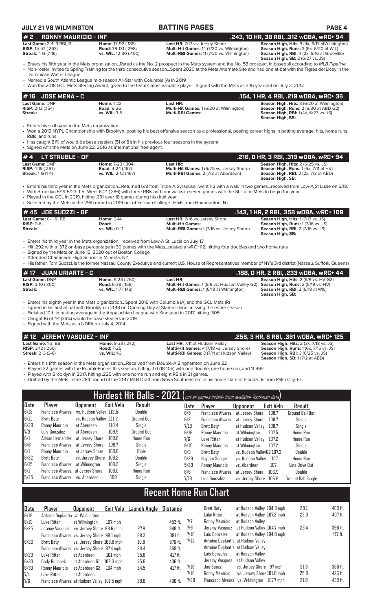## **JULY 21 VS WILMINGTON BATTING PAGES PAGE 4**

| #2<br><b>RONNY MAURICIO - INF</b>                                           |                                                                                                                                                                           | .243, 10 HR, 38 RBI, .312 WOBA, WRC+ 94                                                                                                                                                                                                                                                                                                                                                                  |                                                                                                                                                                                   |  |  |  |  |  |  |
|-----------------------------------------------------------------------------|---------------------------------------------------------------------------------------------------------------------------------------------------------------------------|----------------------------------------------------------------------------------------------------------------------------------------------------------------------------------------------------------------------------------------------------------------------------------------------------------------------------------------------------------------------------------------------------------|-----------------------------------------------------------------------------------------------------------------------------------------------------------------------------------|--|--|--|--|--|--|
| Last Game: 2-4, 3 RBI, R<br>RISP: 15-57 (.263)<br><b>Streak:</b> 4 G (7-16) | Home: 17-92 (.185)<br><b>Road: 39-131 (.298)</b><br>vs. WIL: 12-30 (.400)                                                                                                 | Last HR: 7/17 vs. Jersey Shore<br>Multi-Hit Games: 14 (7/20 vs. Wilmington)<br>Multi-RBI Games: 11 (7/20 vs. Wilmington)                                                                                                                                                                                                                                                                                 | Season High, Hits: 3 (4x, 6/17 at Wilmington)<br>Season High, Runs: 2 (6x, 6/20 at WIL)<br>Season High, RBI: 4 (2x, 5/16 at Greeville)<br><b>Season High, SB: 2 (6/27 vs. JS)</b> |  |  |  |  |  |  |
| Dominican Winter League                                                     |                                                                                                                                                                           | • Enters his fifth year in the Mets organizationRated as the No. 2 prospect in the Mets system and the No. 58 prospect in baseball according to MLB Pipeline<br>• Non-roster invitee to Spring Training for the third consecutive seasonSpent 2020 at the Mets Alternate Site and had one at-bat with the Tigres del Licey in the                                                                        |                                                                                                                                                                                   |  |  |  |  |  |  |
|                                                                             | • Named a South Atlantic League mid-season All-Star with Columbia (A) in 2019                                                                                             | • Won the 2018 GCL Mets Sterling Award, given to the team's most valuable playerSigned with the Mets as a 16-year-old on July 2, 2017.                                                                                                                                                                                                                                                                   |                                                                                                                                                                                   |  |  |  |  |  |  |
| # 16 JOSE MENA - C                                                          |                                                                                                                                                                           |                                                                                                                                                                                                                                                                                                                                                                                                          | .154, 1 HR, 4 RBI, .219 wOBA, wRC+ 36                                                                                                                                             |  |  |  |  |  |  |
| Last Game: DNP<br><b>RISP:</b> 2-13 (.154)<br>Streak:                       | <b>Home: 1-22</b><br><b>Road: 6-26</b><br>vs. WIL: 3-5                                                                                                                    | Last HR:<br>Multi-Hit Games: 1 (6/20 at Wilmington)<br><b>Multi-RBI Games:</b>                                                                                                                                                                                                                                                                                                                           | Season High, Hits: 3 (6/20 at Wilmington)<br>Season High, Runs: 2 (6/30 at ABD G2)<br><b>Season High, RBI:</b> 1 (4x, 6/23 vs. JS)<br>Season High, SB:                            |  |  |  |  |  |  |
| • Enters his sixth year in the Mets organization<br>RBIs, and runs          | • Has caught 81% of would-be base stealers (51 of 81) in his previous four seasons in the system.<br>• Signed with the Mets on June 22, 2016 as international free agent. | • Won a 2019 NYPL Championship with Brooklyn, posting his best offensive season as a professional, posting career highs in batting average, hits, home runs,                                                                                                                                                                                                                                             |                                                                                                                                                                                   |  |  |  |  |  |  |
| <b>LT STRUBLE - OF</b><br>#4                                                |                                                                                                                                                                           |                                                                                                                                                                                                                                                                                                                                                                                                          | .216, 0 HR, 3 RBI, .319 w0BA, wRC+ 94                                                                                                                                             |  |  |  |  |  |  |
| Last Game: DNP<br>RISP: 4-15 (.267)<br><b>Streak:</b> 1 G (1-4)             | Home: 7-23 (.304)<br><b>Road: 4-24 (.167)</b><br>vs. WIL: 2-12 (.167)                                                                                                     | Last HR:<br>Multi-Hit Games: 1 (6/25 vs. Jersey Shore)<br>Multi-RBI Games: 2 (7/3 at Aberdeen)                                                                                                                                                                                                                                                                                                           | Season High, Hits: 2 (6/25 vs. JS)<br>Season High, Runs: 1 (6x, 7/11 at HV)<br><b>Season High, RBI: 2 (2x, 7/3 at ABD)</b><br>Season High, SB:                                    |  |  |  |  |  |  |
|                                                                             | . Played in the GCL in 2019, hitting .231 over 18 games during his draft year                                                                                             | • Enters his third year in the Mets organizationReturned 6/8 from Triple-A Syracusewent 1-2 with a walk in two gamesreceived from Low-A St Lucie on 5/18.<br>• With Brooklyn 5/19-5/23: 1-5Went 6-21 (.286) with three RBIs and four walks in seven games with the St. Lucie Mets to begin the year<br>· Selected by the Mets in the 29th round in 2019 out of Felician College Hails from Hammonton, NJ |                                                                                                                                                                                   |  |  |  |  |  |  |
| #45 JOE SUOZZI - OF                                                         |                                                                                                                                                                           |                                                                                                                                                                                                                                                                                                                                                                                                          | .143, 1 HR, 2 RBI, .358 wOBA, wRC+ 109                                                                                                                                            |  |  |  |  |  |  |
| Last Game: 0-1, R. BB<br>$RISP: 0-6$<br>Streak:                             | <b>Home: 2-14</b><br>Road:<br>vs. WIL: 0-11                                                                                                                               | Last HR: 7/16 vs. Jersey Shore<br><b>Multi-Hit Games:</b><br>Multi-RBI Games: 1 (7/16 vs. Jersey Shore)                                                                                                                                                                                                                                                                                                  | Season High, Hits: 1 (7/13 vs. JS)<br>Season High, Runs: 1 (7/16 vs. JS)<br><b>Season High, RBI: 2 (7/16 vs. JS)</b><br>Season High, SB:                                          |  |  |  |  |  |  |
| • Attended Chaminade High School in Mineola, NY                             | • Enters his third year in the Mets organizationreceived from Low-A St. Lucie on July 13<br>• Signed by the Mets on June 15, 2020 out of Boston College                   | • Hit .292 with a .372 on-base percentage in 30 games with the Metsposted a wRC+112, hitting four doubles and two home runs<br>• His father, Tom Suozzi, is the former Nassau County Executive and current U.S. House of Representatives member of NY's 3rd district (Nassau, Suffolk, Queens)                                                                                                           |                                                                                                                                                                                   |  |  |  |  |  |  |
| <b>JUAN URIARTE - C</b><br>#17                                              |                                                                                                                                                                           |                                                                                                                                                                                                                                                                                                                                                                                                          | .188, 0 HR, 2 RBI, .233 wOBA, wRC+ 44                                                                                                                                             |  |  |  |  |  |  |
| Last Game: DNP<br><b>RISP: 3-10 (.300)</b><br>Streak:                       | Home: 6-23 (.260)<br><b>Road: 6-38 (.158)</b><br>vs. WIL: 1-7 (.143)                                                                                                      | Last HR:<br>Multi-Hit Games: 1 (6/9 vs. Hudson Valley G2)<br>Multi-RBI Games: 1 (6/18 at Wilmington)                                                                                                                                                                                                                                                                                                     | Season High, Hits: 2 (6/9 vs. HV G2)<br>Season High, Runs: 2 (5/19 vs. HV)<br>Season High, RBI: 2 (6/18 at WIL)<br>Season High, SB:                                               |  |  |  |  |  |  |
|                                                                             |                                                                                                                                                                           | Enters his eighth year in the Mets organizationSpent 2019 with Columbia (A) and the GCL Mets (R)<br>Julianus din John Gust, at Just Light Dung Julian in 2010 are Omning David Ctator Johnnal principe that continuance                                                                                                                                                                                  |                                                                                                                                                                                   |  |  |  |  |  |  |

- Injured in his first at-bat with Brooklyn in 2018 on Opening Day at Staten Island, missing the entire season
- Finished 10th in batting average in the Appalachian League with Kingsport in 2017, hitting .305
- Caught 16 of 44 (36%) would-be base stealers in 2019.

• Signed with the Mets as a NDFA on July 4, 2014.

**# 12 JEREMY VASQUEZ - INF**<br> **.258, 3 HR, 8 RBI, .361 wOBA, wRC+ 125**<br> **.258, 3 HR, 8 RBI, .361 wOBA, wRC+ 125**<br> **RISP:** 3-12 (.250)<br> **RISP:** 3-12 (.250)<br> **RISP:** 3-12 (.250)<br> **RISP:** 3-12 (.250)<br> **RISP:** 3-12 (.250)<br> **Last Game:** 1-3, BB **Home:** 8-33 (.242) **Last HR:** 7/11 at Hudson Valley **Season High, Hits:** 2 (3x, 7/18 vs. JS) **RISP:** 3-12 (.250) **Road:** 7-25 **Multi-Hit Games:** 4 (7/18 vs. Jersey Shore) **Season High, Runs:** 1 (6x, 7/15 vs. JS) **Streak:** 2 G (3-6) **vs. WIL:** 1-3 **Multi-RBI Games:** 3 (7/11 at Hudson Valley) **Season High, RBI:** 3 (6/25 vs. JS)

**Season High, Hits: 2 (3x, 7/18 vs. JS)**<br>**Season High, Runs: 1** (6x, 7/15 vs. JS)<br>**Season High, RBI: 3** (6/25 vs. JS)<br>**Season High, RBI: 3** (6/25 vs. JS)<br>**Season High, SB: 1** (7/2 at ABD)

• Enters his fifth season in the Mets organization...Received from Double-A Binghamton on June 22

• Played 32 games with the RumblePonies this season, hitting .171 (18-105) with one double, one home run, and 11 RBIs.

• Played with Brooklyn in 2017, hitting .225 with one home run and eight RBIs in 31 games.

• Drafted by the Mets in the 28th round of the 2017 MLB Draft from Nova Southeastern in his home state of Florida...Is from Palm City, FL.

|                   |                                   |                         |           |                   |      | Hardest Hit Balls - 2021 (not all games listed- from available Trackman data) |                           |           |                           |
|-------------------|-----------------------------------|-------------------------|-----------|-------------------|------|-------------------------------------------------------------------------------|---------------------------|-----------|---------------------------|
| Date              | Player                            | <b>Upponent</b>         | Exit Velo | Result            | Date | Player                                                                        | <b>Opponent</b>           | Exit Velo | Result                    |
| 6/12              | <b>Francisco Alvarez</b>          | vs. Hudson Valley 112.5 |           | Double            | 6/5  | <b>Francisco Alvarez</b>                                                      | at Jersev Shore           | 108.7     | <b>Ground Ball Out</b>    |
| 6/11              | <b>Brett Baty</b>                 | vs. Hudson Valley 111.2 |           | <b>Ground Out</b> | 6/2  | <b>Francisco Alvarez</b>                                                      | at Jersev Shore           | 108.7     | Single                    |
| 6/29              | Ronny Mauricio                    | at Aberdeen             | 110.4     | Single            | 7/13 | Brett Baty                                                                    | at Hudson Vallev          | 108.7     | Sinale                    |
|                   | Luis Gonzalez                     | at Aberdeen             | 109.9     | <b>Ground Out</b> | 6/16 | Ronny Mauricio                                                                | at Wilmington             | 107.5     | <b>Home Run</b>           |
| $\frac{7}{3}$ 6/1 | Adrian Hernandez                  | at Jersev Shore         | 109.8     | Home Run          | 7/6  | Luke Ritter                                                                   | at Hudson Valley          | 107.2     | Home Run                  |
| 6/6               | Francisco Alvarez                 | at Jersev Shore         | 109.7     | Single            | 6/15 | Ronny Mauricio                                                                | at Wilmington             | 107.2     | Single                    |
| 6/1               | Ronny Mauricio                    | at Jersey Shore         | 109.6     | Triple            | 6/9  | Brett Baty                                                                    | vs. Hudson ValleyG2 107.3 |           | Double                    |
| 6/22              | Brett Baty                        | vs. Jersev Shore        | 109.2     | Double            | 5/23 | Havden Senger                                                                 | vs. Hudson Vallev         | 107       | <b>Home Run</b>           |
| 6/15              | Francisco Alvarez                 | at Wilmington           | 109.2     | Single            | 5/29 | Ronny Mauricio                                                                | vs. Aberdeen              | 107       | Line Drive Out            |
| 6/1               | Francisco Alvarez at Jersey Shore |                         | 109.0     | Home Run          | 6/6  | <b>Francisco Alvarez</b>                                                      | at Jersey Shore           | 106.9     | Double                    |
| 5/25              | Francisco Alvarez                 | vs. Aberdeen            | 109       | Single            | 7/13 | Luis Gonzalez                                                                 | vs. Jersev Shore          | 106.8     | <b>Ground Ball Single</b> |

# **Recent Home Run Chart**

| Date | Player                                       | <b>Opponent</b>            |             | Exit Velo Launch Angle | Distance  |      | Brett Baty                                 | at Hudson Valley 104.3 mph | 28.1 | 400 ft. |
|------|----------------------------------------------|----------------------------|-------------|------------------------|-----------|------|--------------------------------------------|----------------------------|------|---------|
| 6/18 | Antoine Duplantis at Wilmington              |                            |             |                        |           |      | Luke Ritter                                | at Hudson Valley 107.2 mph | 23.3 | 407 ft. |
| 6/19 | Luke Ritter                                  | at Wilmington              | 107 mph     |                        | 453 ft.   | 7/7  | Ronny Mauricio                             | at Hudson Valley           |      |         |
| 6/25 | Jeremy Vasquez vs. Jersey Shore 93.6 mph     |                            |             | 27.9                   | 348 ft.   | 7/9  | Jeremy Vasquez                             | at Hudson Valley 104.7 mph | 23.4 | 396 ft. |
|      | Francisco Alvarez vs. Jersey Shore 99.1 mph  |                            |             | 28.3                   | 391 ft.   | 7/10 | Luis Gonzalez                              | at Hudson Valley 104.8 mph |      | 417 ft. |
| 6/26 | Brett Baty                                   | vs. Jersev Shore 103.8 mph |             | 19.8                   | 370 ft.   | 7/11 | Antoine Duplantis at Hudson Valley         |                            |      |         |
|      | Francisco Alvarez vs. Jersey Shore 97.4 mph  |                            |             | 24.4                   | 369 ft.   |      | Antoine Duplantis at Hudson Valley         |                            |      |         |
| 6/29 | Luke Ritter                                  | at Aberdeen                | $101$ mph   | 35.8                   | $417$ ft. |      | Luis Gonzalez                              | at Hudson Valley           |      |         |
| 6/30 | Cody Bohanek                                 | at Aberdeen G1             | $102.3$ mph | 25.6                   | 436 ft.   |      | Jeremy Vasquez                             | at Hudson Vallev           |      |         |
| 6/30 | Ronny Mauricio                               | at Aberdeen G2             | $104$ mph   | 24.5                   | $417$ ft. | 7/16 | Joe Suozzi                                 | vs. Jersey Shore 97 mph    | 31.3 | 380 ft. |
| 7/4  | Luke Ritter                                  | at Aberdeen                |             |                        |           | 7/18 | Ronny Mauricio                             | vs. Jersey Shore 101.8 mph | 25.9 | 426 ft. |
| 7/6  | Francisco Alvarez at Hudson Valley 101.5 mph |                            |             | 28.8                   | 400 ft.   | 7/20 | Francisco Alvarez vs. Wilmington 107.7 mph |                            | 21.8 | 430 ft. |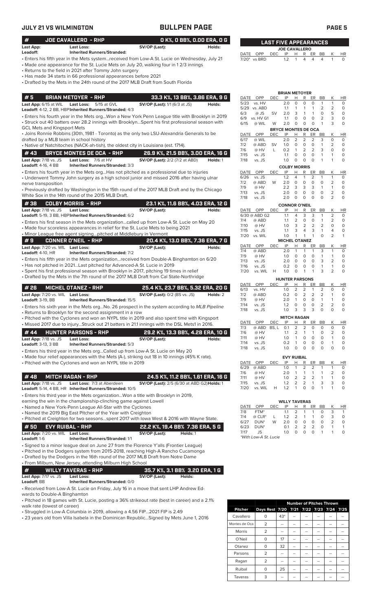## **JULY 21 VS WILMINGTON CONTROLLY BULLPEN PA**

|                                    | <b>JULY 21 VS WILMINGTON</b>                                                                                                                                                                                   | <b>BULLPEN PAGE</b>                                                                                                                                                                    |          |               |                    |                                    |                             |                     |                     |                     |                   |                     | <b>PAGE 5</b>       |
|------------------------------------|----------------------------------------------------------------------------------------------------------------------------------------------------------------------------------------------------------------|----------------------------------------------------------------------------------------------------------------------------------------------------------------------------------------|----------|---------------|--------------------|------------------------------------|-----------------------------|---------------------|---------------------|---------------------|-------------------|---------------------|---------------------|
| #                                  | JOE CAVALLERO - RHP                                                                                                                                                                                            | O K%, O BB%, O.OO ERA, O G                                                                                                                                                             |          |               |                    | <b>LAST FIVE APPEARANCES</b>       |                             |                     |                     |                     |                   |                     |                     |
| Last App:                          | Last Loss:                                                                                                                                                                                                     | SV/OP (Last):                                                                                                                                                                          | Holds:   |               |                    |                                    |                             |                     |                     |                     |                   |                     |                     |
| Leadoff:                           | <b>Inherited Runners/Stranded:</b>                                                                                                                                                                             |                                                                                                                                                                                        |          | DATE OPP      |                    | <b>DEC</b>                         | <b>JOE CAVALLERO</b><br>IP  | H                   |                     | R ER BB             |                   | K                   | <b>HR</b>           |
|                                    | • Returns to the field in 2021 after Tommy John surgery<br>• Has made 34 starts in 66 professional appearances before 2021<br>• Drafted by the Mets in the 24th round of the 2017 MLB Draft from South Florida | • Enters his fifth year in the Mets systemreceived from Low-A St. Lucie on Wednesday, July 21<br>• Made one appearance for the St. Lucie Mets on July 20, walking four in 12/3 innings |          | 7/20* vs BRD  |                    |                                    | 1.2                         | $\mathbf{1}$        | $\overline{4}$      | 4                   | 4                 | $\mathbf{1}$        | $\Omega$            |
|                                    |                                                                                                                                                                                                                |                                                                                                                                                                                        |          |               |                    |                                    | <b>BRIAN METOYER</b>        |                     |                     |                     |                   |                     |                     |
| #5                                 | <b>BRIAN METOYER - RHP</b>                                                                                                                                                                                     | 33.3 K%, 13 BB%, 3.86 ERA, 9 G                                                                                                                                                         |          | DATE          | <b>OPP</b>         | <b>DEC</b>                         | IP                          | H                   | R                   | ER                  | BB                | Κ                   | HR                  |
| Last App: 6/15 at WIL              | <b>Last Loss:</b><br>5/15 at GVL                                                                                                                                                                               | <b>SV/OP (Last):</b> 1/1 (6/3 at JS)                                                                                                                                                   | Holds:   | 5/23          | vs. HV             |                                    | 2.0                         | $\circ$             | $\circ$             | $\circ$             | $\mathbf{1}$      | $\mathbf{1}$        | $\Omega$            |
|                                    | Leadoff: 4-12, 2 BB, HBP Inherited Runners/Stranded: 4/3                                                                                                                                                       |                                                                                                                                                                                        |          | 5/29 vs. ABD  |                    |                                    | 1.1                         | $\mathbf{1}$        | $\mathbf{1}$        | $\overline{1}$      | 2                 | 2                   | $\circ$             |
|                                    |                                                                                                                                                                                                                | . Enters his fourth year in the Mets orgWon a New York Penn League title with Brooklyn in 2019                                                                                         |          | 6/3           | @ JS               | <b>SV</b>                          | 2.0                         | 3                   | $\mathbf{1}$        | $\mathbf{1}$        | $\circ$           | 5                   | $\Omega$            |
|                                    |                                                                                                                                                                                                                | • Struck out 40 batters over 28.2 innings with BrooklynSpent his first professional season with                                                                                        |          | 6/9<br>6/15   | vs. HV G1<br>@ WIL | W                                  | 1.1<br>2.0                  | $\circ$<br>$\Omega$ | $\circ$<br>$\Omega$ | $\circ$<br>$\Omega$ | 2<br>$\mathbf{1}$ | 3<br>3              | $\circ$<br>$\Omega$ |
| <b>GCL Mets and Kingsport Mets</b> |                                                                                                                                                                                                                |                                                                                                                                                                                        |          |               |                    |                                    |                             |                     |                     |                     |                   |                     |                     |
|                                    |                                                                                                                                                                                                                | • Joins Ronnie Robbins (30th, 1981 - Toronto) as the only two LSU-Alexandria Generals to be                                                                                            |          | DATE          | OPP                | <b>BRYCE MONTES DE OCA</b><br>DEC. | IP                          | H.                  | R                   | ER                  | BB                | K                   | HR                  |
|                                    | drafted by a MLB team in school history                                                                                                                                                                        |                                                                                                                                                                                        |          | 6/17          | @ WIL              |                                    | 2.0                         | $\overline{2}$      | 2                   | 2                   | 3                 | $\Omega$            | $\Omega$            |
|                                    | • Native of Natchitoches (NACK-ah-tish), the oldest city in Louisiana (est. 1714).                                                                                                                             |                                                                                                                                                                                        |          | 7/2           | @ ABD              | <b>SV</b>                          | 1.0                         | $\circ$             | $\circ$             | $\circ$             | $\mathbf{1}$      | 2                   | $\Omega$            |
|                                    |                                                                                                                                                                                                                |                                                                                                                                                                                        |          | 7/6           | @ HV               | $\mathbf{L}$                       | 0.2                         | $\mathbf{1}$        | 2                   | 2                   | 3                 | $\Omega$            | $\Omega$            |
| #43                                | <b>BRYCE MONTES DE OCA - RHP</b>                                                                                                                                                                               | 26.9 K%, 21.5 BB%, 3.00 ERA, 16 G                                                                                                                                                      |          | 7/15          | vs. JS             |                                    | 1.1                         | $\circ$             | $\circ$             | $\circ$             | $\mathbf{1}$      | $\mathbf{1}$        | $\circ$             |
| Last App: 7/18 vs. JS              | Last Loss: 7/6 at HV                                                                                                                                                                                           | <b>SV/OP (Last):</b> 2/2 (7/2 at ABD)                                                                                                                                                  | Holds: 1 | 7/18          | vs. JS             |                                    | 1.0 <sub>1</sub>            | $\circ$             | $\circ$             | $\Omega$            | $\overline{1}$    | 1                   | $\Omega$            |
| Leadoff: 4-16, 4 BB                | Inherited Runners/Stranded: 3/3                                                                                                                                                                                |                                                                                                                                                                                        |          |               |                    |                                    | <b>COLBY MORRIS</b>         |                     |                     |                     |                   |                     |                     |
|                                    |                                                                                                                                                                                                                | • Enters his fourth year in the Mets orgHas not pitched as a professional due to injuries                                                                                              |          | <b>DATE</b>   | OPP                | <b>DEC</b>                         | IP                          | н                   | R                   | ER                  | BB                | K                   | <b>HR</b>           |
|                                    |                                                                                                                                                                                                                | • Underwent Tommy John surgery as a high school junior and missed 2016 after having ulnar                                                                                              |          | 6/26          | vs. JS             |                                    | 1.2                         | $\overline{4}$      | $\mathbf{1}$        | 2                   | $\mathbf{1}$      | $\mathbf{1}$        | $\circ$             |
| nerve transposition                |                                                                                                                                                                                                                |                                                                                                                                                                                        |          | 7/2           | @ ABD              | W                                  | 2.0                         | $\circ$             | $\circ$             | $\circ$             | $\circ$           | $\overline{2}$      | $\circ$             |
|                                    |                                                                                                                                                                                                                | • Previously drafted by Washington in the 15th round of the 2017 MLB Draft and by the Chicago                                                                                          |          | 7/9           | @ HV               |                                    | 2.2                         | 3                   | 3                   | 3                   | $\mathbf{1}$      | $\mathbf{1}$        | $\circ$             |
|                                    | White Sox in the 14th round of the 2015 MLB Draft.                                                                                                                                                             |                                                                                                                                                                                        |          | 7/13          | vs. JS             |                                    | 2.0                         | $\circ$             | $\circ$             | $\Omega$            | $\Omega$          | $\overline{2}$      | $\Omega$            |
|                                    |                                                                                                                                                                                                                |                                                                                                                                                                                        |          | 7/18          | vs. JS             |                                    | 2.0                         | $\circ$             | $\circ$             | $\Omega$            | $\Omega$          | $\overline{2}$      | $\Omega$            |
| #38                                | <b>COLBY MORRIS - RHP</b>                                                                                                                                                                                      | 23.1 K%, 11.6 BB%, 4.03 ERA, 12 G                                                                                                                                                      |          |               |                    |                                    | <b>CONNOR O'NEIL</b>        |                     |                     |                     |                   |                     |                     |
| Last App: 7/18 vs. JS              | Last Loss:                                                                                                                                                                                                     | SV/OP (Last):                                                                                                                                                                          | Holds:   | DATE          | OPP                | <b>DEC</b>                         | IP                          | Н                   | R                   | ER                  | <b>BB</b>         | К                   | <b>HR</b>           |
|                                    | Leadoff: 5-19, 3 BB, HBP Inherited Runners/Stranded: 6/2                                                                                                                                                       |                                                                                                                                                                                        |          | 6/30 @ ABD G2 |                    |                                    | 1.1                         | $\overline{4}$      | 3                   | 3                   | 1                 | $\overline{2}$      | 0                   |
|                                    |                                                                                                                                                                                                                | • Enters his first season in the Mets organizationcalled up from Low-A St. Lucie on May 20                                                                                             |          | 7/4           | @ ABD              |                                    | 1.1                         | $\overline{2}$      | $\circ$             | $\circ$             | $\mathbf{1}$      | 2                   | 0                   |
|                                    | • Made four scoreless appearances in relief for the St. Lucie Mets to being 2021                                                                                                                               |                                                                                                                                                                                        |          | 7/10          | @ HV               |                                    | 1.0                         | 3                   | 2                   | 2                   | 2                 | $\Omega$            | $\Omega$            |
|                                    | • Minor League free agent signingpitched at Middlebury in Vermont                                                                                                                                              |                                                                                                                                                                                        |          | 7/15          | vs. JS             |                                    | 1.1                         | 3                   | $\overline{4}$      | 3                   | $\mathbf{1}$      | 4<br>$\overline{2}$ | $\Omega$            |
| #9                                 | <b>CONNER O'NEIL - RHP</b>                                                                                                                                                                                     | 20.4 K%, 13.0 BB%, 7.36 ERA, 7 G                                                                                                                                                       |          | 7/20          | vs. WIL            |                                    | 1.0<br><b>MICHEL OTANEZ</b> | $\mathbf{1}$        | $\mathbf{1}$        | $\mathbf{1}$        | $\circ$           |                     | $\mathbf{1}$        |
|                                    |                                                                                                                                                                                                                |                                                                                                                                                                                        |          | DATE          | <b>OPP</b>         | <b>DEC</b>                         | IP                          | Н                   | R                   | ER.                 | <b>BB</b>         | К                   | ΗR                  |
|                                    | Last App: 7/20 vs. WIL Last Loss:                                                                                                                                                                              | SV/OP (Last):                                                                                                                                                                          | Holds:   | 7/4           | @ ABD              |                                    | 2.0                         | $\mathbf{1}$        | $\mathbf{1}$        | $\mathbf{1}$        | 3                 | 1                   | $\Omega$            |
| <b>Leadoff:</b> $4-10$ . $HR$      | <b>Inherited Runners/Stranded: 7/2</b>                                                                                                                                                                         |                                                                                                                                                                                        |          | 7/9           | @ HV               |                                    | 1.0                         | $\Omega$            | $\circ$             | $\Omega$            | $\mathbf{1}$      | $\mathbf{1}$        | $\Omega$            |
|                                    | Forester lets COLONIAL the state of Market and activities of                                                                                                                                                   | the continued from Developed A. Discussions to                                                                                                                                         | 0.00     |               |                    |                                    |                             |                     |                     |                     |                   |                     |                     |

| #9                                | CONNER O'NEIL - RHP                    |               | 20.4 K%, 13.0 BB%, 7.36 ERA, 7 G |  |  |  |  |
|-----------------------------------|----------------------------------------|---------------|----------------------------------|--|--|--|--|
| Last App: 7/20 vs. WIL Last Loss: |                                        | SV/OP (Last): | Holds:                           |  |  |  |  |
| <b>Leadoff:</b> 4-10. $HR$        | <b>Inherited Runners/Stranded: 7/2</b> |               |                                  |  |  |  |  |
|                                   |                                        |               |                                  |  |  |  |  |

| # 26 MICHEL OTANEZ - RHP          |                                         | ' 25.4 K%. 23.7 BB%. 5.32 ERA. 20 G , |          |
|-----------------------------------|-----------------------------------------|---------------------------------------|----------|
| Last App: 7/20 vs. WIL Last Loss: |                                         | <b>SV/OP (Last):</b> 0/2 (BS vs. JS)  | Holds: 2 |
| Leadoff: $3-19.$ BB               | <b>Inherited Runners/Stranded: 15/5</b> |                                       |          |

• Enters his sixth year in the Mets org...No. 26 prospect in the system according to *MLB Pipeline* • Returns to Brooklyn for the second assignment in a row

• Pitched with the Cyclones and won an NYPL title in 2019 and also spent time with Kingsport

• Missed 2017 due to injury...Struck out 21 batters in 21.1 innings with the DSL Mets1 in 2016.

| #44                            | <b>HUNTER PARSONS - RHP</b>            |               | 29.2 K%. 13.3 BB%. 4.28 ERA. 10 G |
|--------------------------------|----------------------------------------|---------------|-----------------------------------|
| <b>Last App:</b> $7/18$ vs. JS | Last Loss:                             | SV/OP (Last): | Holds:                            |
| <b>Leadoff:</b> $3-13.3$ BB    | <b>Inherited Runners/Stranded: 5/3</b> |               |                                   |

• Enters his third year in the Mets org...Called up from Low-A St. Lucie on May 20

- Made four relief appearances with the Mets (A-), striking out 18 in 10 innings (45% K rate).
- Pitched with the Cyclones and won an NYPL title in 2019

## **# 48 MITCH RAGAN - RHP 24.5 K%, 11.2 BB%, 1.61 ERA, 16 G**

**Last App:** 7/18 vs. JS **Last Loss:** 7/3 at Aberdeen **SV/OP (Last):** 2/5 (6/30 at ABD G2)**Holds:** 1 **Leadoff:** 5-14, 4 BB, HR **Inherited Runners/Stranded:** 10/5

• Enters his third year in the Mets organization...Won a title with Brooklyn in 2019,

earning the win in the championship-clinching game against Lowell

• Named a New York-Penn League All-Star with the Cyclones

• Named the 2019 Big East Pitcher of the Year with Creighton

• Pitched at Creighton for two seasons...spent 2017 with Iowa West & 2016 with Wayne State. **# 50 EVY RUIBAL - RHP 22.2 K%, 19.4 BB% 7.36 ERA, 5 G**

| Last App: 7/20 vs. WIL Last Loss: |                                                                                                                                                          | SV/OP (Last): | Holds: 1 |
|-----------------------------------|----------------------------------------------------------------------------------------------------------------------------------------------------------|---------------|----------|
| <b>Leadoff:</b> 1-6               | <b>Inherited Runners/Stranded: 1/1</b>                                                                                                                   |               |          |
|                                   | $\bigcap$ and the contract of the set of the state $\bigcap$ $f$ and the $\bigcap$ $f$ and $\bigcap$ $f$ and $\bigcap$ $f$ and $f$ and $f$ and $\bigcap$ |               |          |

• Signed to a minor league deal on June 27 from the Florence Y'alls (Frontier League) • Pitched in the Dodgers system from 2015-2018, reaching High-A Rancho Cucamonga

• Drafted by the Dodgers in the 16th round of the 2017 MLB Draft from Notre Dame

• From Milburn, New Jersey, attending Milburn High School

# **# WILLY TAVERAS - RHP 35.7 K%, 3.1 BB% 3.20 ERA, 1 G**

**Last App:** 7/17 vs. JS **Last Loss: SV/OP (Last): Holds: Inherited Runners/Stranded:** 0/0

• Received from Low-A St. Lucie on Friday, July 16 in a move that sent LHP Andrew Edwards to Double-A Binghamton

• Pitched in 18 games with St. Lucie, posting a 36% strikeout rate (best in career) and a 2.1% walk rate (lowest of career)

• Struggled in Low-A Columbia in 2019, allowing a 4.56 FIP...2021 FIP is 2.49

• 23 years old from Villa Isabela in the Dominican Republic...Signed by Mets June 1, 2016

|                |                                         |     | <b>Number of Pitches Thrown</b> |    |  |
|----------------|-----------------------------------------|-----|---------------------------------|----|--|
| <b>Pitcher</b> | Days Rest 7/20 7/21 7/22 7/23 7/24 7/25 |     |                                 |    |  |
| Cavallero      | N                                       | 43* |                                 |    |  |
| Montes de Oca  | 2                                       | --  | --                              | -- |  |
| <b>Morris</b>  | $\overline{2}$                          | --  |                                 |    |  |
| O'Neil         | O                                       | 17  | --                              | -- |  |
| Otanez         | O                                       | 32  |                                 | -- |  |
| Parsons        | 2                                       | --  |                                 |    |  |
| Ragan          | 2                                       | --  |                                 |    |  |
| Ruibal         | 0                                       | 25  |                                 |    |  |
| Taveras        | 3                                       |     |                                 |    |  |

|                               | • Minor League free agent signingpitched at Middlebury in Vermont                         |                                        |                                                                                          |               |      |                    |      | .                     | $\overline{\phantom{a}}$ | $-$      |          |           | $\mathbf{r}$  | $\sim$   |
|-------------------------------|-------------------------------------------------------------------------------------------|----------------------------------------|------------------------------------------------------------------------------------------|---------------|------|--------------------|------|-----------------------|--------------------------|----------|----------|-----------|---------------|----------|
|                               |                                                                                           |                                        |                                                                                          |               | 7/20 | vs. WIL            |      | 1.0                   |                          |          |          |           |               | -1       |
| l#9                           |                                                                                           | CONNER O'NEIL  - RHP ,                 | 20.4 K%, 13.0 BB%, 7.36 ERA, 7 G                                                         |               |      |                    |      | <b>MICHEL OTANEZ</b>  |                          |          |          |           |               |          |
|                               | Last App: 7/20 vs. WIL                                                                    | <b>Last Loss:</b>                      | SV/OP (Last):                                                                            | Holds:        |      | DATE OPP           | DEC  | IP                    | н                        | R        | ER       | <b>BB</b> | K             | HI       |
| <b>Leadoff:</b> $4-10$ . $HR$ |                                                                                           | <b>Inherited Runners/Stranded: 7/2</b> |                                                                                          |               | 7/4  | @ ABD              |      | 2.0                   |                          |          |          |           |               | $\Omega$ |
|                               |                                                                                           |                                        |                                                                                          |               | 7/9  | @ HV               |      | 1 O                   | $\Omega$                 | $\Omega$ | $\Omega$ |           |               | ∩        |
|                               | • Enters his fifth year in the Mets organizationreceived from Double-A Binghamton on 6/20 |                                        |                                                                                          |               |      |                    |      | 20                    | <u>റ</u>                 | $\Omega$ | $\Omega$ | 3         | $\mathcal{P}$ | $\Omega$ |
|                               |                                                                                           |                                        | • Has not pitched in 2021Last pitched for Advanced-A St. Lucie in 2019                   |               | 7/16 | vs. JS             |      | 0.2                   | $\cap$                   | $\Omega$ | $\Omega$ |           |               | ∩        |
|                               |                                                                                           |                                        | • Spent his first professional season with Brooklyn in 2017, pitching 19 times in relief |               | 7/20 | vs. WIL            | н    | 1 O                   | $\Omega$                 |          |          |           | 2             | $\Omega$ |
|                               |                                                                                           |                                        | • Drafted by the Mets in the 7th round of the 2017 MLB Draft from Cal State-Northridge   |               |      |                    |      |                       |                          |          |          |           |               |          |
|                               |                                                                                           |                                        |                                                                                          |               |      |                    |      | <b>HUNTER PARSONS</b> |                          |          |          |           |               |          |
|                               |                                                                                           |                                        |                                                                                          |               | DATE | OPP                | DEC. | IP                    | H                        | R        | ER       | BB        |               | H        |
| #26                           |                                                                                           | MICHEL OTANEZ - RHP                    | 25.4 K%, 23.7 BB%, 5.32 ERA, 20 G                                                        |               | 6/13 | vs. HV             |      | 1 O                   | $\mathcal{P}$            |          |          |           | $\Omega$      | $\Omega$ |
|                               | $1$ act Ann: $7/20$ ye $MII$ $1$ act Local                                                |                                        | $CVI(OD II 201)$ (1 $121$ ) (DC $101$ )                                                  | $H$ older $2$ | 717  | $\odot$ $\land$ RD |      | ∩ າ                   | $\cap$                   |          |          |           |               | $\cap$   |

|   |             |          |            | <b>HUNTER PARSONS</b> |                |                |                |                |                |           |
|---|-------------|----------|------------|-----------------------|----------------|----------------|----------------|----------------|----------------|-----------|
|   | <b>DATE</b> | OPP      | <b>DEC</b> | IP                    | н              | R              | ER             | BB             | Κ              | HR        |
| G | 6/13        | vs. HV   |            | 1.0                   | 2              | 2              | 1              | 2              | O              | 0         |
| 2 | 7/2         | @ ABD    |            | 0.2                   | $\Omega$       | 2              | $\overline{2}$ | $\overline{2}$ | 1              | $\Omega$  |
|   | 7/9         | @ HV     |            | 2.0                   | 1              | O              | O              | 1              | 1              | $\Omega$  |
|   | 7/14        | vs. JS   |            | 1.2                   | 0              | O              | O              | $\overline{2}$ | $\overline{2}$ | $\Omega$  |
|   | 7/18        | $vs.$ JS |            | 1.0                   | 3              | 3              | 3              | 0              | O              | $\Omega$  |
|   |             |          |            | <b>MITCH RAGAN</b>    |                |                |                |                |                |           |
|   | DATE        | OPP      | <b>DEC</b> | IP                    | н              | R              | ER             | <b>BB</b>      | Κ              | <b>HR</b> |
|   | 7/3         | @ ABD    | BS.L       | 0.1                   | $\overline{2}$ | $\overline{2}$ | $\Omega$       | $\Omega$       | O              | 0         |
| G | 7/6         | @ HV     |            | 1.1                   | $\overline{2}$ | 1              | 1              | Ο              | $\overline{2}$ | O         |
|   | 7/11        | @ HV     |            | 1.0                   | 1              | $\Omega$       | 0              | 0              | 1              | O         |
|   | 7/14        | vs. JS   |            | 0.2                   | 1              | O              | 0              | 0              | 1              | 0         |
|   | 7/18        | vs. JS   |            | 1.0                   | O              | 0              | 0              | 0              | 0              | O         |

| <b>EVY RUIBAL</b> |          |     |     |    |                |     |    |   |          |
|-------------------|----------|-----|-----|----|----------------|-----|----|---|----------|
|                   | DATE OPP | DEC | IP  | н  | R              | ER  | BB | Κ | HR       |
| 6/29              | @ ABD    |     | 1.0 | -1 |                | 2 2 |    |   | O        |
| 7/6               | @ HV     |     | 2.0 | 1  | 1              | 1   | -1 | 2 | $\Omega$ |
| 7/11              | @ HV     |     | 10  |    | 222            |     | -1 |   | O        |
| 7/15              | vs. JS   |     | 12  | 2  | $\overline{2}$ | 1   | 3  | 3 | O        |
| 7/20              | vs. WIL  | н   | 12  | 1  | O              | O   |    |   |          |
|                   |          |     |     |    |                |     |    |   |          |

| <b>WILLY TAVERAS</b> |            |                       |               |   |                |    |               |    |  |
|----------------------|------------|-----------------------|---------------|---|----------------|----|---------------|----|--|
| OPP                  | <b>DEC</b> | IP                    | н             | R | ER             | BВ |               | ΗR |  |
| FTM*                 |            | 1.1                   | 2             | 1 | 1              | Ο  | 3             |    |  |
| $@$ CLR <sup>*</sup> |            | 1.2                   | 2             | 1 | 1              | O  | 3             | O  |  |
| $DUN*$               | W          | 2.0                   | O             | 0 | O              | Ο  | $\mathcal{P}$ | O  |  |
| $DUN*$               |            | $\Omega$ 1            | $\mathcal{L}$ | 2 | $\overline{2}$ | O  |               |    |  |
| JS.                  |            | 1.0                   | O             | O | O              |    |               |    |  |
|                      |            |                       |               |   |                |    |               |    |  |
|                      |            | *With Low-A St. Lucie |               |   |                |    |               |    |  |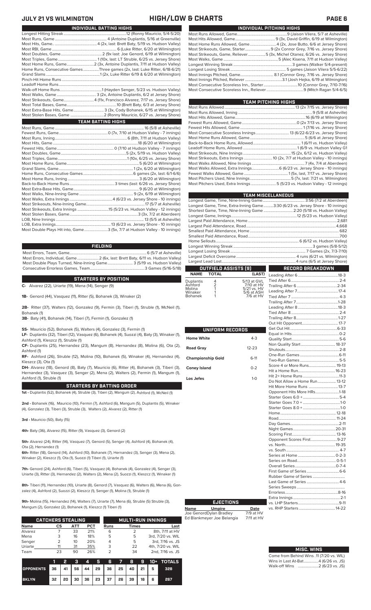## **JULY 21 VS WILMINGTON HIGH/LOW & CHARTS PAGE 6**

| INDIVIDUAL PITCHING HIGHS                                                   |
|-----------------------------------------------------------------------------|
|                                                                             |
|                                                                             |
| Most Home Runs Allowed, Game4 (2x, Jose Butto, 6/6 at Jersey Shore)         |
| Most Strikeouts, Game, Starter 9 (2x Connor Grey, 7/16 vs. Jersey Shore)    |
| Most Strikeouts, Game, Reliever5 (3x, Michel Otanez, 6/26 vs. Jersey Shore) |
|                                                                             |
|                                                                             |
|                                                                             |
|                                                                             |
|                                                                             |
|                                                                             |
|                                                                             |

| TEAM PITCHING HIGHS                                                        |  |
|----------------------------------------------------------------------------|--|
|                                                                            |  |
|                                                                            |  |
|                                                                            |  |
|                                                                            |  |
|                                                                            |  |
|                                                                            |  |
|                                                                            |  |
|                                                                            |  |
|                                                                            |  |
|                                                                            |  |
| Most Strikeouts, Extra Innings  10 (2x, 7/7 at Hudson Valley - 10 innings) |  |
|                                                                            |  |
|                                                                            |  |
|                                                                            |  |
|                                                                            |  |
| Most Pitchers Used, Extra Innings 5 (5/23 vs. Hudson Valley - 12 innings)  |  |
|                                                                            |  |

|                                                                                                                                                                                                                                                       |                                | <b>TEAM MISCELLANEOUS</b>                                                      |  |
|-------------------------------------------------------------------------------------------------------------------------------------------------------------------------------------------------------------------------------------------------------|--------------------------------|--------------------------------------------------------------------------------|--|
|                                                                                                                                                                                                                                                       |                                |                                                                                |  |
|                                                                                                                                                                                                                                                       |                                | Longest Game, Time, Extra-Inning Game3:30 (6/23 vs. Jersey Shore - 10 innings) |  |
|                                                                                                                                                                                                                                                       |                                | Shortest Game, Time, Nine-Inning Game  2:20 (5/18 vs. Hudson Valley)           |  |
|                                                                                                                                                                                                                                                       |                                |                                                                                |  |
|                                                                                                                                                                                                                                                       |                                |                                                                                |  |
|                                                                                                                                                                                                                                                       |                                |                                                                                |  |
|                                                                                                                                                                                                                                                       |                                |                                                                                |  |
|                                                                                                                                                                                                                                                       |                                |                                                                                |  |
|                                                                                                                                                                                                                                                       |                                |                                                                                |  |
|                                                                                                                                                                                                                                                       |                                |                                                                                |  |
|                                                                                                                                                                                                                                                       |                                |                                                                                |  |
|                                                                                                                                                                                                                                                       |                                |                                                                                |  |
|                                                                                                                                                                                                                                                       |                                |                                                                                |  |
| OUTFIELD ASSISTS [9]                                                                                                                                                                                                                                  | <u>and the second property</u> | <b>RECORD BREAKDOWN</b>                                                        |  |
| NAME TOTAL                                                                                                                                                                                                                                            | (LAST)                         |                                                                                |  |
| $\mu$ and $\mu$ and $\mu$ and $\mu$ and $\mu$ and $\mu$ and $\mu$ and $\mu$ and $\mu$ and $\mu$ and $\mu$ and $\mu$ and $\mu$ and $\mu$ and $\mu$ and $\mu$ and $\mu$ and $\mu$ and $\mu$ and $\mu$ and $\mu$ and $\mu$ and $\mu$ and $\mu$ and $\mu$ |                                | Tied After 6 2.4                                                               |  |

Duplantis 4 5/13 at GVL Ashford 2 7/10 at HV Molina 1 5/21 vs. HV Winaker 1 5/6 at ASH Bohanek 1 7/6 at HV

|                          |           | . .<br>O                              |
|--------------------------|-----------|---------------------------------------|
| UNIFORM RECORDS          |           | G<br>E)                               |
| <b>Home White</b>        | $4 - 3$   | Q                                     |
| <b>Road Gray</b>         | $12 - 23$ | N<br>S                                |
| <b>Championship Gold</b> | $6-11$    | O<br>Ъ                                |
| <b>Coney Island</b>      | $0 - 2$   | S<br>Н                                |
| Los Jefes                | $1-0$     | $\overline{H}$<br>D<br>H              |
|                          |           | O<br>S <sup>-</sup><br>S <sup>-</sup> |
|                          |           | S<br>$\overline{H}$<br>R              |
|                          |           | D<br>N                                |
|                          |           | S<br>O                                |
|                          |           | V.<br>V.                              |
|                          |           | S                                     |
|                          |           | S<br>O                                |
|                          |           | Fi                                    |
|                          |           | R<br>Lέ                               |
|                          |           | $\mathbf{C}$                          |

### Most RBI, Game .................................................................. 6 (Luke Ritter, 6/20 at Wilmington) Most Doubles, Game..........................................2 (9x last: Joe Genord, 6/19 at Wilmington) Most Triples, Game........................................ 1 (10x, last: LT Struble, 6/25 vs. Jersey Shore) Most Home Runs, Game............................2 (3x, Antoine Duplantis, 7/11 at Hudson Valley) Home Runs, Consecutive Games ................Three games (2x, last: Luke Ritter, 6/18-6/21) Grand Slams .......................................................1 (2x, Luke Ritter 6/19 & 6/20 at Wilmington)

Walk-off Home Runs...........................................1 (Hayden Senger, 5/23 vs. Hudson Valley) Most Walks, Game ........................................ 3 (2x, Antoine Duplantis, 6/2 at Jersey Shore) Most Strikeouts, Game...............................4 (11x, Francisco Alvarez, 7/17 vs. Jersey Shore) Most Total Bases, Game...................................................10 (Brett Baty, 6/3 at Jersey Shore) Most Extra-Base Hits, Game............................... 3 (3x, Cody Bohanek, 6/15 at Wilmington) .2 (Ronny Mauricio, 6/27 vs. Jersey Shore)

### Most Runs, Game ........................................................................................... 16 (5/8 at Asheville) Fewest Runs, Game..................................................0 (7x, 7/10 at Hudson Valley - 7 innings) Most Runs, Inning..........................................................................6 (8th, 7/11 at Hudson Valley) Most Hits, Game .......................................................................................18 (6/20 at Wilmington) 0 (7/10 at Hudson Valley - 7 innings) Most Doubles, Game...................................................................5 (2x, 5/19 vs. Hudson Valley) Most Triples, Game.......................................................................1 (10x, 6/25 vs. Jersey Shore) Most Home Runs, Game.....<br>Grand Slams, Game.............  $1(2x, 6/20$  at Wilmington) Home Runs, Consecutive Games ...................................................6 games (2x, last: 6/1-6/6) Most Home Runs, Inning ......................................................................... 3 (6/20 at Wilmington) Back-to-Back Home Runs ..............................................3 times (last: 6/26 vs. Jersey Shore) Most Extra-Base Hits, Game. Most Walks, Nine-Inning Game ....................................................... 9 (2x, 6/19 at Wilmington) Most Walks, Extra Innings ............................................4 (6/23 vs. Jersey Shore - 10 innings) Most Strikeouts, Nine-Inning Game.....<br>Most Strikeouts, Extra Innings .............. Most Strikeouts, Extra Innings ................................15 (5/23 vs. Hudson Valley - 12 innings) Most Stolen Bases, Game....<br>LOB, Nine Innings ................... LOB, Nine Innings .......................................................................................... 13 (5/5 at Asheville) LOB, Extra Innings........................................................13 (6/23 vs. Jersey Shore - 10 innings) .3 (5x, 7/7 at Hudson Valley - 10 innings) **TEAM BATTING HIGHS**

Longest Hitting Streak ................................................................12 (Ronny Mauricio, 5/4-5/20) Most Runs, Game ..................................................... 4 (Antoine Duplantis, 5/16 at Greenville) Most Hits, Game.. ...........................................4 (2x, last: Brett Baty, 5/19 vs. Hudson Valley)

**INDIVIDUAL BATTING HIGHS**

Pinch-Hit Home Runs... Leadoff Home Runs....<br>Walk-off Home Runs...

### **FIELDING**

Most Errors, Team, Game...............................................................................6 (5/7 at Asheville) Most Errors, Individual, Game......................2 (6x, last: Brett Baty, 6/11 vs. Hudson Valley) Most Double Plays Turned, Nine-Inning Game.......................... 3 (5/19 vs. Hudson Valley) Consecutive Errorless Games, Team.

**STARTERS BY POSITION**

**C-** Alvarez (22), Uriarte (19), Mena (14), Senger (9)

**1B-** Genord (44), Vasquez (11), Ritter (5), Bohanek (3), Winaker (2)

**2B-** Ritter (37), Walters (12), Gonzalez (9), Fermin (3), Tiberi (1), Struble (1), McNeil (1), Bohanek (1)

**3B-** Baty (41), Bohanek (14), Tiberi (7), Fermin (1), Gonzalez (1)

**SS-** Mauricio (52), Bohanek (5), Walters (4), Gonzalez (3), Fermin (1)

**LF-** Duplantis (32), Tiberi (12), Vasquez (6), Bohanek (4), Suozzi (4), Baty (3), Winaker (1), Ashford (1), Kleszcz (1), Struble (1)

**CF-** Duplantis (25), Hernandez (23), Mangum (8), Hernandez (8), Molina (6), Ota (2), Ashford (1)

**RF-** Ashford (26), Struble (12), Molina (10), Bohanek (5), Winaker (4), Hernandez (4), Kleszcz (3), Ota (1)

**DH-** Alvarez (18), Genord (8), Baty (7), Mauricio (6), Ritter (4), Bohanek (3), Tiberi (3), Hernandez (3), Vasquez (3), Senger (2), Mena (2), Walters (2), Fermin (1), Mangum (1), Ashford (1), Struble (1)

### **STARTERS BY BATTING ORDER**

**1st -** Duplantis (52), Bohanek (4), Struble (3), Tiberi (2), Mangum (2), Ashford (1), McNeil (1)

**2nd -** Bohanek (16), Mauricio (10), Fermin (7), Ashford (6), Mangum (5), Duplantis (5), Winaker (4), Gonzalez (3), Tiberi (3), Struble (3), Walters (2), Alvarez (2), Ritter (1)

**3rd -** Mauricio (50), Baty (15)

**4th-** Baty (36), Alvarez (15), Ritter (9), Vasquez (3), Genord (2)

**5th-** Alvarez (24), Ritter (14), Vasquez (7), Genord (5), Senger (4), Ashford (4), Bohanek (4), Ota (2), Hernandez (1)

**6th-** Ritter (18), Genord (14), Ashford (10), Bohanek (7), Hernandez (3), Senger (3), Mena (2), Winaker (2), Kleszcz (1), Ota (1), Suozzi (1) Tiberi (1), Uriarte (1)

**7th-** Genord (24), Ashford (6), Tiberi (5), Vasquez (4), Bohanek (4), Gonzalez (4), Senger (3), Uriarte (3), Ritter (3), Hernandez (2), Walters (2), Mena (2), Suozzi (1), Kleszcz (1), Winaker (1)

**8th-** Tiberi (11), Hernandez (10), Uriarte (8), Genord (7), Vasquez (6), Walters (6), Mena (6), Gonzalez (4), Ashford (2), Suozzi (2), Kleszcz (1), Senger (1), Molina (1), Struble (1)

**9th-** Molina (15), Hernandez (14), Walters (7), Uriarte (7), Mena (6), Struble (5) Struble (3), Mangum (2), Gonzalez (2), Bohanek (1), Kleszcz (1) Tiberi (1)

|             | <b>CATCHERS STEALING</b> |     |     |      | <b>MULTI-RUN INNINGS</b> |                   |  |  |
|-------------|--------------------------|-----|-----|------|--------------------------|-------------------|--|--|
| <b>Name</b> | CS                       | АТТ | PCT | Runs | <b>Times</b>             | Last              |  |  |
| Alvarez     |                          | 33  | 21% | 6    |                          | 8th, 7/11 at HV   |  |  |
| Mena        | 3                        | 16  | 18% | 5    | 5                        | 3rd, 7/20 vs. WIL |  |  |
| Senger      | 2                        | 10  | 20% | 4    | 5                        | 3rd, 7/16 vs. JS  |  |  |
| Uriarte     |                          | 31  | 35% | 3    | 22                       | 4th, 7/20 vs. WIL |  |  |
| Team        | 23                       | 90  | 26% |      | 34                       | 2nd, 7/16 vs. JS  |  |  |

|                  |                                                | v. |  |                                            |  |     | 3 4 5 6 7 8 9 10 + TOTALS |
|------------------|------------------------------------------------|----|--|--------------------------------------------|--|-----|---------------------------|
| <b>OPPONENTS</b> | 36   41   56   44   29   36   25   40   21   5 |    |  |                                            |  |     | 328                       |
| <b>BKLYN</b>     |                                                |    |  | 32   20   30   36   23   37   26   39   16 |  | - 6 | 267                       |

|        | RECORD BREAKDOWN              |  |
|--------|-------------------------------|--|
| T)     |                               |  |
|        |                               |  |
| l<br>V |                               |  |
|        |                               |  |
|        |                               |  |
|        |                               |  |
|        |                               |  |
|        |                               |  |
|        |                               |  |
|        |                               |  |
|        |                               |  |
|        |                               |  |
|        |                               |  |
|        |                               |  |
|        |                               |  |
|        |                               |  |
|        |                               |  |
|        | Score 4 or More Runs 19-13    |  |
|        |                               |  |
|        |                               |  |
|        | Do Not Allow a Home Run 13-12 |  |
|        | Hit More Home Runs 13-7       |  |
|        | Opponent Hits More HRs1-18    |  |
|        |                               |  |
|        |                               |  |
|        |                               |  |
|        |                               |  |
|        |                               |  |
|        |                               |  |
|        |                               |  |
|        |                               |  |
|        | Opponent Scores First9-27     |  |
|        |                               |  |
|        |                               |  |
|        |                               |  |
|        |                               |  |
|        |                               |  |
|        |                               |  |
|        |                               |  |
|        | Last Game of Series  4-6      |  |
|        |                               |  |
|        |                               |  |
|        |                               |  |
|        |                               |  |
|        |                               |  |

| <b>MISC. WINS</b>                        |
|------------------------------------------|
| Come from Behind Wins .11 (7/20 vs. WIL) |
| Wins in Last At-Bat4 (6/26 vs. JS)       |
| Walk-off Wins  2 (6/23 vs. JS)           |

**Name Umpire Date** Joe GenordDylan Bradley 7/9 at HV Ed Blankmeyer Joe Belangia 7/11 at HV

**EJECTIONS**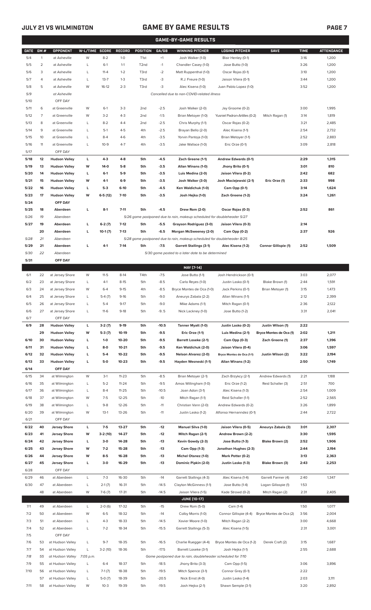## **JULY 21 VS WILMINGTON GAME BY GAME RESULTS**

|--|--|

|             |              |                            |                |           |           |                   |         | <b>GAME-BY-GAME RESULTS</b>                                                         |                               |                         |             |                   |
|-------------|--------------|----------------------------|----------------|-----------|-----------|-------------------|---------|-------------------------------------------------------------------------------------|-------------------------------|-------------------------|-------------|-------------------|
| <b>DATE</b> | GM#          | <b>OPPONENT</b>            | W-L/TIME SCORE |           | RECORD    | POSITION          | GA/GB   | <b>WINNING PITCHER</b>                                                              | <b>LOSING PITCHER</b>         | <b>SAVE</b>             | <b>TIME</b> | <b>ATTENDANCE</b> |
| 5/4         | $\mathbf{1}$ | at Asheville               | W              | $8-2$     | $1-0$     | T <sub>1st</sub>  | $+1$    | Josh Walker (1-0)                                                                   | Blair Henley (0-1)            |                         | 3:16        | 1,200             |
| 5/5         | 2            | at Asheville               | L              | $6-1$     | $1 - 1$   | T <sub>2</sub> nd | $-1$    | Chandler Casey (1-0)                                                                | Jose Butto (1-0)              |                         | 3:26        | 1,200             |
| 5/6         | 3            | at Asheville               | L              | $11 - 4$  | $1 - 2$   | T3rd              | $-2$    | Matt Ruppenthal (1-0)                                                               | Oscar Rojas (0-1)             |                         | 3:10        | 1,200             |
| 5/7         | 4            | at Asheville               | L              | $13 - 7$  | $1 - 3$   | T3rd              | -3      | R.J. Freure (1-0)                                                                   | Jaison Vilera (0-1)           |                         | 3:44        | 1,200             |
| 5/8         | 5            | at Asheville               | W              | $16-12$   | $2 - 3$   | T3rd              | -3      | Alec Kisena (1-0)                                                                   | Juan Pablo Lopez (1-0)        |                         | 3:52        | 1,200             |
| 5/9         |              | at Asheville               |                |           |           |                   |         | Cancelled due to non-COVID-related illness                                          |                               |                         |             |                   |
| 5/10        |              | OFF DAY                    |                |           |           |                   |         |                                                                                     |                               |                         |             |                   |
| 5/11        | 6            | at Greenville              | W              | $6-1$     | $3-3$     | 2 <sub>nd</sub>   | $-2.5$  | Josh Walker (2-0)                                                                   | Jay Groome (0-2)              |                         | 3:00        | 1,995             |
| 5/12        | 7            | at Greenville              | W              | $3 - 2$   | $4 - 3$   | 2 <sub>nd</sub>   | $-1.5$  |                                                                                     | Yusniel Padron-Artilles (0-2) | Mitch Ragan (1)         | 3:14        | 1,819             |
| 5/13        |              |                            |                | $8 - 2$   | $4 - 4$   |                   |         | Brian Metoyer (1-0)<br>Chris Murphy (1-1)                                           |                               |                         |             |                   |
|             | 8            | at Greenville              | L              |           |           | 2 <sub>nd</sub>   | $-2.5$  |                                                                                     | Oscar Rojas (0-2)             |                         | 3:21        | 2,485             |
| 5/14        | 9            | at Greenville              | L              | $5-1$     | $4 - 5$   | 4th               | $-2.5$  | Brayan Bello (2-0)                                                                  | Alec Kisena (1-1)             |                         | 2:54        | 2,732             |
| 5/15        | 10           | at Greenville              | L              | $8 - 4$   | $4-6$     | 4th               | $-3.5$  | Yorvin Pantoja (1-0)                                                                | Brian Metoyer (1-1)           |                         | 2:52        | 2,883             |
| 5/16        | 11           | at Greenville              | L              | $10 - 9$  | $4 - 7$   | 4th               | $-3.5$  | Jake Wallace (1-0)                                                                  | Eric Orze (0-1)               |                         | 3:09        | 2,818             |
| 5/17        |              | OFF DAY                    |                |           |           |                   |         |                                                                                     |                               |                         |             |                   |
| 5/18        | 12           | <b>Hudson Valley</b>       | L              | $4-3$     | $4-8$     | 5th               | $-4.5$  | Zach Greene (1-1)                                                                   | Andrew Edwards (0-1)          |                         | 2:29        | 1,315             |
| 5/19        | 13           | <b>Hudson Valley</b>       | W              | 14-0      | $5-8$     | 5th               | $-3.5$  | Allan Winans (1-0)                                                                  | Jhony Brito (0-1)             |                         | 3:01        | 810               |
| 5/20        | 14           | <b>Hudson Valley</b>       | L              | $6-1$     | $5-9$     | 5th               | $-3.5$  | Luis Medina (2-0)                                                                   | Jaison Vilera (0-2)           |                         | 2:42        | 682               |
| 5/21        | 15           | <b>Hudson Valley</b>       | W              | 4-1       | $6-9$     | 5th               | $-3.5$  | Josh Walker (3-0)                                                                   | Josh Maciejewski (2-1)        | Eric Orze (1)           | 2:33        | 998               |
| 5/22        | 16           | <b>Hudson Valley</b>       | L              | $5-3$     | $6-10$    | 5th               | $-4.5$  | Ken Waldichuk (1-0)                                                                 | Cam Opp (0-1)                 |                         | 3:14        | 1,624             |
| 5/23        | 17           | <b>Hudson Valley</b>       | W              | $6-5(12)$ | $7-10$    | 5th               | $-3.5$  | Josh Hejka (1-0)                                                                    | Zach Greene (1-2)             |                         | 3:24        | 1,261             |
| 5/24        |              | OFF DAY                    |                |           |           |                   |         |                                                                                     |                               |                         |             |                   |
| 5/25        | 18           | Aberdeen                   | L              | $8-1$     | $7 - 11$  | 5th               | $-4.5$  | Drew Rom (2-0)                                                                      | Oscar Rojas (0-3)             |                         | 2:52        | 861               |
| 5/26        | 19           | Aberdeen                   |                |           |           |                   |         | 5/26 game postponed due to rain, makeup scheduled for doubleheader 5/27             |                               |                         |             |                   |
| 5/27        | 19           | Aberdeen                   | L              | $6-2(7)$  | $7-12$    | 5th               | $-5.5$  | Grayson Rodriguez (3-0)                                                             | Jaison Vilera (0-3)           |                         | 2:14        |                   |
|             | 20           | Aberdeen                   | г              | $10-1(7)$ | $7-13$    | 5th               | $-6.5$  | Morgan McSweeney (2-0)                                                              | Cam Opp (0-2)                 |                         | 2:37        | 926               |
| 5/28        | 21           | Aberdeen                   |                |           |           |                   |         | 5/28 game postponed due to rain, makeup scheduled for doubleheader 8/25             |                               |                         |             |                   |
| 5/29        | 21           | Aberdeen                   | г              | $4 - 1$   | $7-14$    | 5th               | $-7.5$  | <b>Garrett Stallings (3-1)</b>                                                      | Alec Kisena (1-2)             | Connor Gillispie (1)    | 2:52        | 1,509             |
| 5/30        | 22           | Aberdeen                   |                |           |           |                   |         | 5/30 game posted to a later date to be determined                                   |                               |                         |             |                   |
| 5/31        |              | OFF DAY                    |                |           |           |                   |         |                                                                                     |                               |                         |             |                   |
|             |              |                            |                |           |           |                   |         | MAY [7-14]                                                                          |                               |                         |             |                   |
| 6/1         | 22           | at Jersey Shore            | W              | $11 - 5$  | $8-14$    | T4th              | $-7.5$  | Jose Butto (1-1)                                                                    | Josh Hendrickson (0-1)        |                         | 3:03        | 2,077             |
| 6/2         | 23           | at Jersey Shore            | L              | $4-1$     | $8 - 15$  | 5th               | $-8.5$  | Carlo Reyes (1-0)                                                                   | Justin Lasko (0-1)            | Blake Brown (1)         | 2:44        | 1,591             |
| 6/3         | 24           | at Jersey Shore            | W              | $6 - 4$   | $9 - 15$  | 4th               | $-8.5$  | Bryce Montes de Oca (1-0)                                                           | Jack Perkins (0-1)            | Brian Metoyer (1)       | 3:15        | 1,473             |
| 6/4         | 25           | at Jersey Shore            | L              | $5-4(7)$  | $9-16$    | 5th               | $-9.0$  | Aneurys Zabala (2-2)                                                                | Allan Winans (1-1)            |                         | 2:12        | 2,399             |
| 6/5         | 26           | at Jersey Shore            | L              | $5 - 4$   | $9 - 17$  | 5th               | $-9.0$  | Mike Adams (1-1)                                                                    | Mitch Ragan (0-1)             |                         | 2:36        | 2,122             |
| 6/6         | 27           | at Jersey Shore            | L              | $11-6$    | $9-18$    | 5th               | $-9.5$  | Nick Lackney (1-0)                                                                  | Jose Butto (1-2)              |                         | 3:31        | 2,041             |
| 6/7         |              | OFF DAY                    |                |           |           |                   |         |                                                                                     |                               |                         |             |                   |
| 6/9         | 28           | <b>Hudson Valley</b>       | L              | $3-2(7)$  | $9-19$    | 5th               | $-10.5$ | Tanner Myatt (1-0)                                                                  | Justin Lasko (0-2)            | Justin Wilson (1)       | 2:22        |                   |
|             | 29           | <b>Hudson Valley</b>       | W              | $5-3(7)$  | $10-19$   | 5th               | $-9.5$  | Eric Orze (1-1)                                                                     | Luis Medina (2-1)             | Bryce Montes de Oca (1) | 2:02        | 1,211             |
|             |              |                            |                |           |           |                   |         |                                                                                     |                               |                         |             |                   |
| 6/10        | 30           | <b>Hudson Valley</b>       | L              | $1 - 0$   | 10-20     | 5th               | $-9.5$  | <b>Barrett Loseke (2-1)</b>                                                         | Cam Opp (0-3)                 | Zach Greene (1)         | 2:37        | 1,396             |
| 6/11        | 31           | <b>Hudson Valley</b>       | L              | $8-0$     | $10 - 21$ | 5th               | $-9.5$  | Ken Waldichuk (2-0)                                                                 | Jaison Vilera (0-4)           |                         | 3:06        | 1,597             |
| 6/12        | 32           | <b>Hudson Valley</b>       | г              | $5-4$     | 10-22     | 5th               | $-9.5$  | Nelson Alvarez (2-0)                                                                | Bryce Montes de Oca (1-1)     | Justin Wilson (2)       | 3:22        | 2,194             |
| 6/13        | 33           | <b>Hudson Valley</b>       | L              | $5-0$     | $10 - 23$ | 5th               | $-9.5$  | Hayden Wesneski (1-1)                                                               | Allan Winans (1-2)            |                         | 2:50        | 1,749             |
| 6/14        |              | OFF DAY                    |                |           |           |                   |         |                                                                                     |                               |                         |             |                   |
| 6/15        | 34           | at Wilmington              | W              | $3-1$     | $11 - 23$ | 5th               | $-8.5$  | Brian Metoyer (2-1)                                                                 | Zach Brzykcy (2-1)            | Andrew Edwards (1)      | 2:21        | 1,188             |
| 6/16        | 35           | at Wilmington              | L              | $5 - 2$   | $11 - 24$ | 5th               | $-9.5$  | Amos Willingham (1-0)                                                               | Eric Orze (1-2)               | Reid Schaller (3)       | 2:51        | 700               |
| 6/17        | 36           | at Wilmington              | L              | $8 - 4$   | $11 - 25$ | 5th               | $-10.5$ | Joan Adon (3-1)                                                                     | Alec Kisena (1-3)             |                         | 2:54        | 1,009             |
| 6/18        | 37           | at Wilmington              | W              | $7-5$     | $12 - 25$ | 5th               | $-10$   | Mitch Ragan (1-1)                                                                   | Reid Schaller (1-1)           |                         | 2:52        | 2,565             |
| 6/19        | 38           | at Wilmington              | L              | $9 - 8$   | 12-26     | 5th               | $-11$   | Christian Vann (2-0)                                                                | Andrew Edwards (0-2)          |                         | 3:26        | 1,899             |
| 6/20        | 39           | at Wilmington              | W              | $13-1$    | 13-26     | 5th               | $-11$   | Justin Lasko (1-2)                                                                  | Alfonso Hernanndez (0-1)      |                         | 2:44        | 2,722             |
| 6/21        |              | OFF DAY                    |                |           |           |                   |         |                                                                                     |                               |                         |             |                   |
| 6/22        | 40           | <b>Jersey Shore</b>        | L              | $7-5$     | 13-27     | 5th               | $-12$   | Manuel Silva (1-0)                                                                  | Jaison Vilera (0-5)           | Aneurys Zabala (3)      | 3:01        | 2,307             |
| 6/23        | 41           | <b>Jersey Shore</b>        | W              | $3-2(10)$ | 14-27     | 5th               | $-12$   | Mitch Ragan (2-1)                                                                   | Andrew Brown (2-2)            |                         | 3:30        | 1,595             |
| 6/24        | 42           | <b>Jersey Shore</b>        | L              | $3-0$     | 14-28     | 5th               | $-13$   | Kevin Gowdy (2-3)                                                                   | Jose Butto (1-3)              | Blake Brown (2)         | 2:52        | 1,906             |
| 6/25        | 43           | <b>Jersey Shore</b>        | W              | $7-2$     | 15-28     | 5th               | $-13$   | Cam Opp (1-3)                                                                       | Jonathan Hughes (2-3)         |                         | 2:44        | 2,194             |
| 6/26        | 44           | <b>Jersey Shore</b>        | W              | $8-5$     | 16-28     | 5th               | $-13$   | <b>Michel Otanez (1-0)</b>                                                          | Mark Potter (0-2)             |                         | 3:13        | 2,363             |
| 6/27        | 45           | <b>Jersey Shore</b>        | г              | $3-0$     | 16-29     | 5th               | $-13$   | Dominic Pipkin (2-0)                                                                | Justin Lasko (1-3)            | Blake Brown (3)         | 2:43        | 2,253             |
| 6/28        |              | OFF DAY                    |                |           |           |                   |         |                                                                                     |                               |                         |             |                   |
| 6/29        | 46           | at Aberdeen                | L              | $7 - 3$   | 16-30     | 5th               | $-14$   | Garrett Stallings (4-3)                                                             | Alec Kisena (1-4)             | Garrett Farmer (4)      | 2:40        | 1,347             |
| 6/30        | 47           | at Aberdeen                | L              | $2-1(7)$  | 16-31     | 5th               | $-14.5$ | Clayton McGinness (1-1)                                                             | Jose Butto (1-4)              | Logan Gillaspie (1)     | 1:53        |                   |
|             | 48           | at Aberdeen                | W              | $7-6(7)$  | $17 - 31$ | 5th               | $-14.5$ | Jaison Vilera (1-5)                                                                 | Kade Strowd (0-2)             | Mitch Ragan (2)         | 2:31        | 2,405             |
|             |              |                            |                |           |           |                   |         | <b>JUNE [10-17]</b>                                                                 |                               |                         |             |                   |
| 7/1         | 49           | at Aberdeen                | L              | $2-0(6)$  | 17-32     | 5th               | $-15$   | Drew Rom (5-0)                                                                      | Cam (1-4)                     |                         | 1:50        | 1,077             |
| 7/2         | 50           | at Aberdeen                | W              | $6 - 5$   | 18-32     | 5th               | $-14$   | Colby Morris (1-0)                                                                  | Connor Gillispie (4-4)        | Bryce Montes de Oca (2) | 3:56        | 2,004             |
| 7/3         | 51           | at Aberdeen                | L              | $4 - 3$   | 18-33     | 5th               | $-14.5$ | Xavier Moore (1-0)                                                                  | Mitch Ragan (2-2)             |                         | 3:00        | 4,668             |
|             |              | at Aberdeen                |                |           |           |                   |         |                                                                                     |                               |                         |             |                   |
| 7/4         | 52           | OFF DAY                    | L              | $7 - 2$   | 18-34     | 5th               | $-15.5$ | Garrett Stallings (5-3)                                                             | Alec Kisena (1-5)             |                         | 2:31        | 3,001             |
| 7/5         |              | at Hudson Valley           |                |           |           |                   |         |                                                                                     |                               |                         |             |                   |
| 7/6         | 53           |                            | L              | $9 - 7$   | 18-35     | 5th               | $-16.5$ | Charlie Ruegger (4-4)                                                               | Bryce Montes de Oca (1-2)     | Derek Craft (2)         | 3:15        | 1,687             |
| 7/7         | 54           | at Hudson Valley           | L              | $3-2(10)$ | 18-36     | 5th               | $-17.5$ | Barrett Loseke (3-1)<br>Game postponed due to rain, doubleheader scheduled for 7/10 | Josh Hejka (1-1)              |                         | 2:55        | 2,688             |
| 7/8         | 55           | at Hudson Valley 7:05 p.m. |                |           |           |                   |         |                                                                                     |                               |                         |             |                   |
| 7/9         | 55           | at Hudson Valley           | L              | $6 - 4$   | 18-37     | 5th               | $-18.5$ | Jhony Brito (3-3)                                                                   | Cam Opp (1-5)                 |                         | 3:06        | 3,896             |
| 7/10        | 56           | at Hudson Valley           | L              | $7-1(7)$  | 18-38     | 5th               | $-19.5$ | Mitch Spence (3-1)                                                                  | Connor Grey (0-1)             |                         | 2:22        |                   |
|             | 57           | at Hudson Valley           | L              | $5-0(7)$  | 18-39     | 5th               | $-20.5$ | Nick Ernst (4-0)                                                                    | Justin Lasko (1-4)            |                         | 2:03        | 3,111             |
| 7/11        |              | 58 at Hudson Valley        | W              | $10-3$    | 19-39     | 5th               | $-19.5$ | Josh Hejka (2-1)                                                                    | Shawn Semple (3-1)            |                         | 3:20        | 2,892             |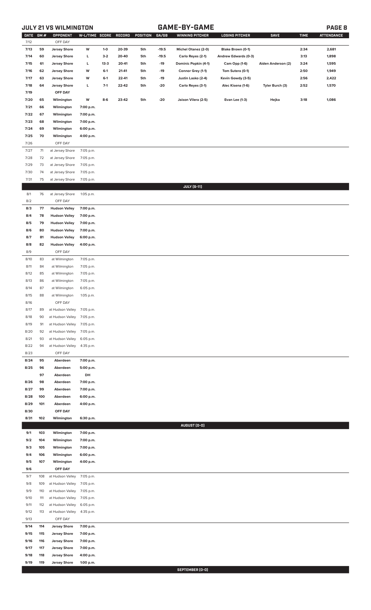## **JULY 21 VS WILMINGTON GAME-BY-GAME PAGE 8**

| DATE GM #<br>7/12 |            | OPPONENT<br>OFF DAY                          | W-L/TIME SCORE RECORD  |          |       | POSITION | GA/GB   | <b>WINNING PITCHER</b> | <b>LOSING PITCHER</b> | <b>SAVE</b>        | <b>TIME</b> | <b>ATTENDANCE</b> |
|-------------------|------------|----------------------------------------------|------------------------|----------|-------|----------|---------|------------------------|-----------------------|--------------------|-------------|-------------------|
| 7/13              | 59         | <b>Jersey Shore</b>                          | W                      | $1-0$    | 20-39 | 5th      | $-19.5$ | Michel Otanez (2-0)    | Blake Brown (0-1)     |                    | 2:34        | 2,681             |
| 7/14              | 60         | <b>Jersey Shore</b>                          | г                      | $3-2$    | 20-40 | 5th      | $-19.5$ | Carlo Reyes (2-1)      | Andrew Edwards (0-3)  |                    | 3:13        | 1,898             |
| 7/15              | 61         | <b>Jersey Shore</b>                          | L                      | $13 - 3$ | 20-41 | 5th      | $-19$   | Dominic Popkin (4-1)   | Cam Opp (1-6)         | Aiden Anderson (2) | 3:24        | 1,595             |
| 7/16              | 62         | <b>Jersey Shore</b>                          | W                      | $6-1$    | 21-41 | 5th      | $-19$   | Connor Grey (1-1)      | Tom Sutera (0-1)      |                    | 2:50        | 1,949             |
| 7/17              | 63         | <b>Jersey Shore</b>                          | W                      | $6-1$    | 22-41 | 5th      | $-19$   | Justin Lasko (2-4)     | Kevin Gowdy (3-5)     |                    | 2:56        | 2,422             |
| 7/18              | 64         | <b>Jersey Shore</b>                          | г                      | $7-1$    | 22-42 | 5th      | $-20$   | Carlo Reyes (3-1)      | Alec Kisena (1-6)     | Tyler Burch (3)    | 2:52        | 1,570             |
| 7/19              |            | OFF DAY                                      |                        |          |       |          |         |                        |                       |                    |             |                   |
|                   |            |                                              |                        |          |       |          |         |                        |                       |                    |             |                   |
| 7/20              | 65         | Wilmington                                   | W                      | $8-6$    | 23-42 | 5th      | $-20$   | Jaison Vilera (2-5)    | <b>Evan Lee (1-3)</b> | Hejka              | 3:18        | 1,086             |
| 7/21              | 66         | Wilmington                                   | 7:00 p.m.              |          |       |          |         |                        |                       |                    |             |                   |
| 7/22<br>7/23      | 67<br>68   | Wilmington                                   | 7:00 p.m.<br>7:00 p.m. |          |       |          |         |                        |                       |                    |             |                   |
|                   |            | Wilmington                                   |                        |          |       |          |         |                        |                       |                    |             |                   |
| 7/24              | 69         | Wilmington                                   | 6:00 p.m.              |          |       |          |         |                        |                       |                    |             |                   |
| 7/25              | 70         | Wilmington                                   | 4:00 p.m.              |          |       |          |         |                        |                       |                    |             |                   |
| 7/26              |            | OFF DAY                                      |                        |          |       |          |         |                        |                       |                    |             |                   |
| 7/27              | 71         | at Jersey Shore                              | 7:05 p.m.              |          |       |          |         |                        |                       |                    |             |                   |
| 7/28              | 72         | at Jersey Shore                              | 7:05 p.m.              |          |       |          |         |                        |                       |                    |             |                   |
| 7/29              | 73         | at Jersey Shore                              | 7:05 p.m.              |          |       |          |         |                        |                       |                    |             |                   |
| 7/30              | 74         | at Jersey Shore                              | 7:05 p.m.              |          |       |          |         |                        |                       |                    |             |                   |
| 7/31              | 75         | at Jersey Shore                              | 7:05 p.m.              |          |       |          |         | <b>JULY</b> [6-11]     |                       |                    |             |                   |
| 8/1               | 76         | at Jersey Shore                              | 1:05 p.m.              |          |       |          |         |                        |                       |                    |             |                   |
| 8/2               |            | OFF DAY                                      |                        |          |       |          |         |                        |                       |                    |             |                   |
|                   | 77         |                                              | 7:00 p.m.              |          |       |          |         |                        |                       |                    |             |                   |
| 8/3<br>8/4        | 78         | <b>Hudson Valley</b><br><b>Hudson Valley</b> | 7:00 p.m.              |          |       |          |         |                        |                       |                    |             |                   |
| 8/5               | 79         | <b>Hudson Valley</b>                         | 7:00 p.m.              |          |       |          |         |                        |                       |                    |             |                   |
| 8/6               | 80         | <b>Hudson Valley</b>                         | 7:00 p.m.              |          |       |          |         |                        |                       |                    |             |                   |
| 8/7               | 81         | <b>Hudson Valley</b>                         | 6:00 p.m.              |          |       |          |         |                        |                       |                    |             |                   |
| 8/8               | 82         | <b>Hudson Valley</b>                         | 4:00 p.m.              |          |       |          |         |                        |                       |                    |             |                   |
| 8/9               |            | OFF DAY                                      |                        |          |       |          |         |                        |                       |                    |             |                   |
| 8/10              | 83         | at Wilmington                                | 7:05 p.m.              |          |       |          |         |                        |                       |                    |             |                   |
| 8/11              | 84         | at Wilmington                                | 7:05 p.m.              |          |       |          |         |                        |                       |                    |             |                   |
| 8/12              | 85         | at Wilmington                                | 7:05 p.m.              |          |       |          |         |                        |                       |                    |             |                   |
| 8/13              | 86         | at Wilmington                                | 7:05 p.m.              |          |       |          |         |                        |                       |                    |             |                   |
| 8/14              | 87         | at Wilmington                                | 6:05 p.m.              |          |       |          |         |                        |                       |                    |             |                   |
| 8/15              | 88         | at Wilmington                                | 1:05 p.m.              |          |       |          |         |                        |                       |                    |             |                   |
| 8/16              |            | OFF DAY                                      |                        |          |       |          |         |                        |                       |                    |             |                   |
| 8/17              | 89         | at Hudson Valley                             | 7:05 p.m.              |          |       |          |         |                        |                       |                    |             |                   |
| 8/18              | 90         | at Hudson Valley                             | 7:05 p.m.              |          |       |          |         |                        |                       |                    |             |                   |
| 8/19              | 91         | at Hudson Valley                             | 7:05 p.m.              |          |       |          |         |                        |                       |                    |             |                   |
| 8/20              | 92         | at Hudson Valley                             | 7:05 p.m.              |          |       |          |         |                        |                       |                    |             |                   |
| 8/21              | 93         | at Hudson Valley                             | 6:05 p.m.              |          |       |          |         |                        |                       |                    |             |                   |
| 8/22              | 94         | at Hudson Valley                             | 4:35 p.m.              |          |       |          |         |                        |                       |                    |             |                   |
| 8/23              |            | OFF DAY                                      |                        |          |       |          |         |                        |                       |                    |             |                   |
| 8/24              | 95         | Aberdeen                                     | 7:00 p.m.              |          |       |          |         |                        |                       |                    |             |                   |
| 8/25              | 96         | Aberdeen                                     | 5:00 p.m.              |          |       |          |         |                        |                       |                    |             |                   |
|                   | 97         | Aberdeen                                     | DH                     |          |       |          |         |                        |                       |                    |             |                   |
| 8/26              | 98         | Aberdeen                                     | 7:00 p.m.              |          |       |          |         |                        |                       |                    |             |                   |
| 8/27              | 99         | Aberdeen                                     | 7:00 p.m.              |          |       |          |         |                        |                       |                    |             |                   |
| 8/28              | 100        | Aberdeen                                     | 6:00 p.m.              |          |       |          |         |                        |                       |                    |             |                   |
| 8/29              | 101        | Aberdeen                                     | 4:00 p.m.              |          |       |          |         |                        |                       |                    |             |                   |
| 8/30              |            | OFF DAY                                      |                        |          |       |          |         |                        |                       |                    |             |                   |
| 8/31              | 102        | Wilmington                                   | 6:30 p.m.              |          |       |          |         |                        |                       |                    |             |                   |
|                   |            |                                              |                        |          |       |          |         | AUGUST (0-0)           |                       |                    |             |                   |
| 9/1               | 103        | Wilmington                                   | 7:00 p.m.              |          |       |          |         |                        |                       |                    |             |                   |
| 9/2               | 104        | Wilmington                                   | 7:00 p.m.              |          |       |          |         |                        |                       |                    |             |                   |
| 9/3               | 105        | Wilmington                                   | 7:00 p.m.              |          |       |          |         |                        |                       |                    |             |                   |
| 9/4               | 106        | Wilmington                                   | 6:00 p.m.              |          |       |          |         |                        |                       |                    |             |                   |
| 9/5               | 107        | Wilmington                                   | 4:00 p.m.              |          |       |          |         |                        |                       |                    |             |                   |
| 9/6               |            | OFF DAY                                      |                        |          |       |          |         |                        |                       |                    |             |                   |
| 9/7               | 108        | at Hudson Valley                             | 7:05 p.m.              |          |       |          |         |                        |                       |                    |             |                   |
| 9/8               | 109        | at Hudson Valley                             | 7:05 p.m.              |          |       |          |         |                        |                       |                    |             |                   |
| 9/9               | 110        | at Hudson Valley                             | 7:05 p.m.              |          |       |          |         |                        |                       |                    |             |                   |
| 9/10              | 111        | at Hudson Valley                             | 7:05 p.m.              |          |       |          |         |                        |                       |                    |             |                   |
| 9/11<br>9/12      | 112<br>113 | at Hudson Valley<br>at Hudson Valley         | 6:05 p.m.<br>4:35 p.m. |          |       |          |         |                        |                       |                    |             |                   |
| 9/13              |            | OFF DAY                                      |                        |          |       |          |         |                        |                       |                    |             |                   |
| 9/14              | 114        | <b>Jersey Shore</b>                          | 7:00 p.m.              |          |       |          |         |                        |                       |                    |             |                   |
| 9/15              | 115        | <b>Jersey Shore</b>                          | 7:00 p.m.              |          |       |          |         |                        |                       |                    |             |                   |
| 9/16              | 116        | <b>Jersey Shore</b>                          | 7:00 p.m.              |          |       |          |         |                        |                       |                    |             |                   |
| 9/17              | 117        | <b>Jersey Shore</b>                          | 7:00 p.m.              |          |       |          |         |                        |                       |                    |             |                   |
| 9/18              | 118        | <b>Jersey Shore</b>                          | 4:00 p.m.              |          |       |          |         |                        |                       |                    |             |                   |
| 9/19              | 119        | <b>Jersey Shore</b>                          | 1:00 p.m.              |          |       |          |         |                        |                       |                    |             |                   |
|                   |            |                                              |                        |          |       |          |         | SEPTEMBER (0-0)        |                       |                    |             |                   |